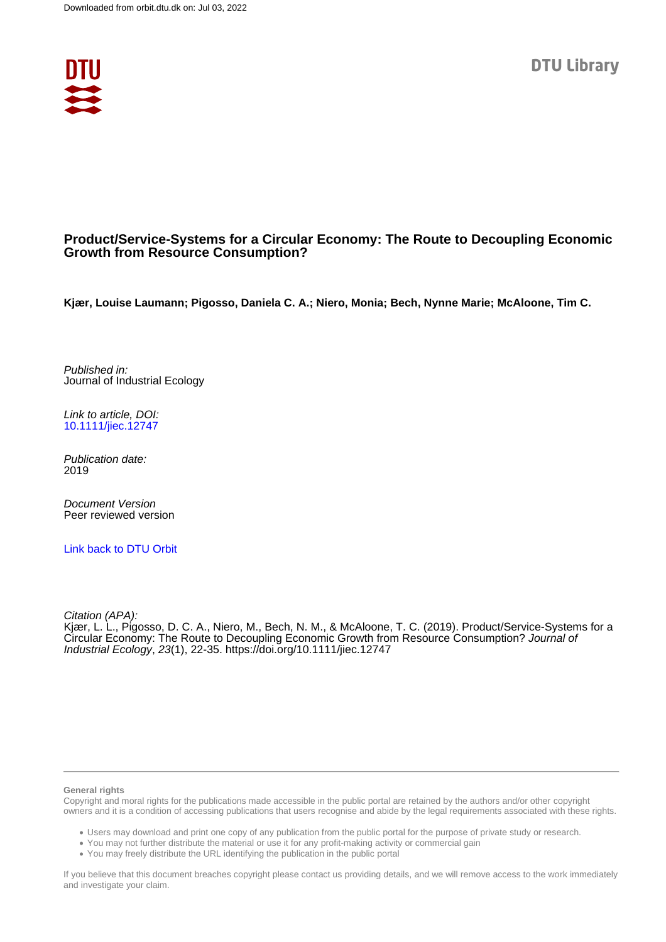

## **Product/Service-Systems for a Circular Economy: The Route to Decoupling Economic Growth from Resource Consumption?**

**Kjær, Louise Laumann; Pigosso, Daniela C. A.; Niero, Monia; Bech, Nynne Marie; McAloone, Tim C.**

Published in: Journal of Industrial Ecology

Link to article, DOI: [10.1111/jiec.12747](https://doi.org/10.1111/jiec.12747)

Publication date: 2019

Document Version Peer reviewed version

[Link back to DTU Orbit](https://orbit.dtu.dk/en/publications/23f1005b-fcc1-4687-abb6-01962fd68a23)

Citation (APA):

Kjær, L. L., Pigosso, D. C. A., Niero, M., Bech, N. M., & McAloone, T. C. (2019). Product/Service-Systems for a Circular Economy: The Route to Decoupling Economic Growth from Resource Consumption? Journal of Industrial Ecology, 23(1), 22-35. <https://doi.org/10.1111/jiec.12747>

#### **General rights**

Copyright and moral rights for the publications made accessible in the public portal are retained by the authors and/or other copyright owners and it is a condition of accessing publications that users recognise and abide by the legal requirements associated with these rights.

Users may download and print one copy of any publication from the public portal for the purpose of private study or research.

- You may not further distribute the material or use it for any profit-making activity or commercial gain
- You may freely distribute the URL identifying the publication in the public portal

If you believe that this document breaches copyright please contact us providing details, and we will remove access to the work immediately and investigate your claim.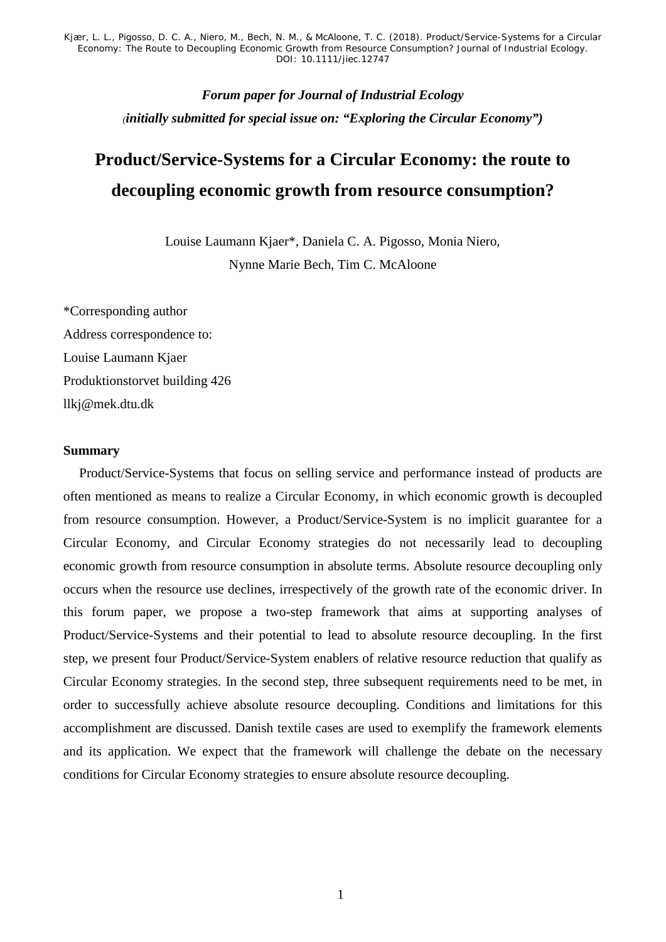> *Forum paper for Journal of Industrial Ecology (initially submitted for special issue on: "Exploring the Circular Economy")*

# **Product/Service-Systems for a Circular Economy: the route to decoupling economic growth from resource consumption?**

Louise Laumann Kjaer\*, Daniela C. A. Pigosso, Monia Niero, Nynne Marie Bech, Tim C. McAloone

\*Corresponding author Address correspondence to: Louise Laumann Kjaer Produktionstorvet building 426 llkj@mek.dtu.dk

## **Summary**

Product/Service-Systems that focus on selling service and performance instead of products are often mentioned as means to realize a Circular Economy, in which economic growth is decoupled from resource consumption. However, a Product/Service-System is no implicit guarantee for a Circular Economy, and Circular Economy strategies do not necessarily lead to decoupling economic growth from resource consumption in absolute terms. Absolute resource decoupling only occurs when the resource use declines, irrespectively of the growth rate of the economic driver. In this forum paper, we propose a two-step framework that aims at supporting analyses of Product/Service-Systems and their potential to lead to absolute resource decoupling. In the first step, we present four Product/Service-System enablers of relative resource reduction that qualify as Circular Economy strategies. In the second step, three subsequent requirements need to be met, in order to successfully achieve absolute resource decoupling. Conditions and limitations for this accomplishment are discussed. Danish textile cases are used to exemplify the framework elements and its application. We expect that the framework will challenge the debate on the necessary conditions for Circular Economy strategies to ensure absolute resource decoupling.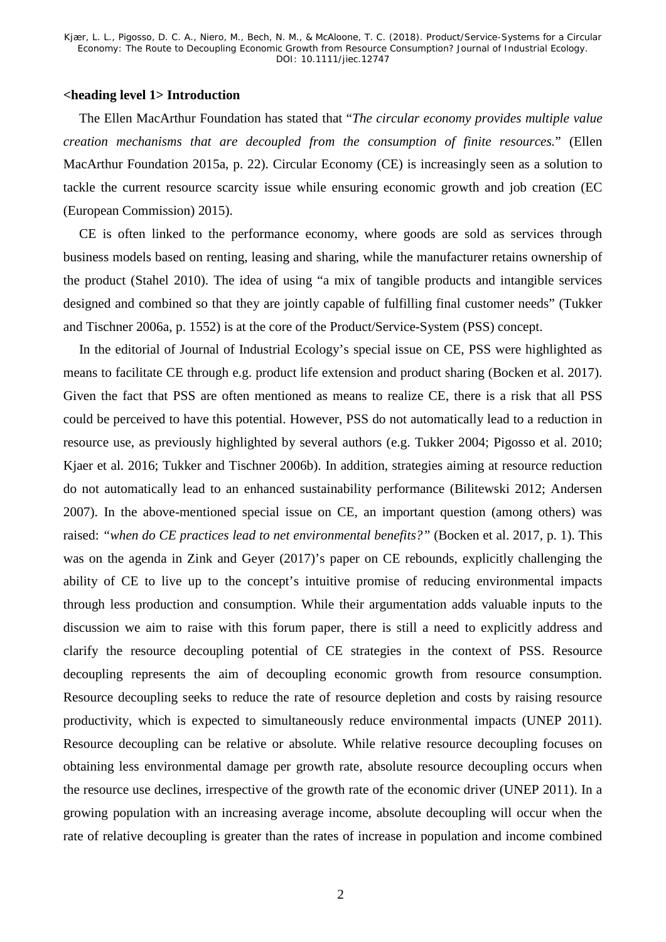## **<heading level 1> Introduction**

The Ellen MacArthur Foundation has stated that "*The circular economy provides multiple value creation mechanisms that are decoupled from the consumption of finite resources.*" (Ellen MacArthur Foundation 2015a, p. 22). Circular Economy (CE) is increasingly seen as a solution to tackle the current resource scarcity issue while ensuring economic growth and job creation (EC (European Commission) 2015).

CE is often linked to the performance economy, where goods are sold as services through business models based on renting, leasing and sharing, while the manufacturer retains ownership of the product (Stahel 2010). The idea of using "a mix of tangible products and intangible services designed and combined so that they are jointly capable of fulfilling final customer needs" (Tukker and Tischner 2006a, p. 1552) is at the core of the Product/Service-System (PSS) concept.

In the editorial of Journal of Industrial Ecology's special issue on CE, PSS were highlighted as means to facilitate CE through e.g. product life extension and product sharing (Bocken et al. 2017). Given the fact that PSS are often mentioned as means to realize CE, there is a risk that all PSS could be perceived to have this potential. However, PSS do not automatically lead to a reduction in resource use, as previously highlighted by several authors (e.g. Tukker 2004; Pigosso et al. 2010; Kjaer et al. 2016; Tukker and Tischner 2006b). In addition, strategies aiming at resource reduction do not automatically lead to an enhanced sustainability performance (Bilitewski 2012; Andersen 2007). In the above-mentioned special issue on CE, an important question (among others) was raised: *"when do CE practices lead to net environmental benefits?"* (Bocken et al. 2017, p. 1). This was on the agenda in Zink and Geyer (2017)'s paper on CE rebounds, explicitly challenging the ability of CE to live up to the concept's intuitive promise of reducing environmental impacts through less production and consumption. While their argumentation adds valuable inputs to the discussion we aim to raise with this forum paper, there is still a need to explicitly address and clarify the resource decoupling potential of CE strategies in the context of PSS. Resource decoupling represents the aim of decoupling economic growth from resource consumption. Resource decoupling seeks to reduce the rate of resource depletion and costs by raising resource productivity, which is expected to simultaneously reduce environmental impacts (UNEP 2011). Resource decoupling can be relative or absolute. While relative resource decoupling focuses on obtaining less environmental damage per growth rate, absolute resource decoupling occurs when the resource use declines, irrespective of the growth rate of the economic driver (UNEP 2011). In a growing population with an increasing average income, absolute decoupling will occur when the rate of relative decoupling is greater than the rates of increase in population and income combined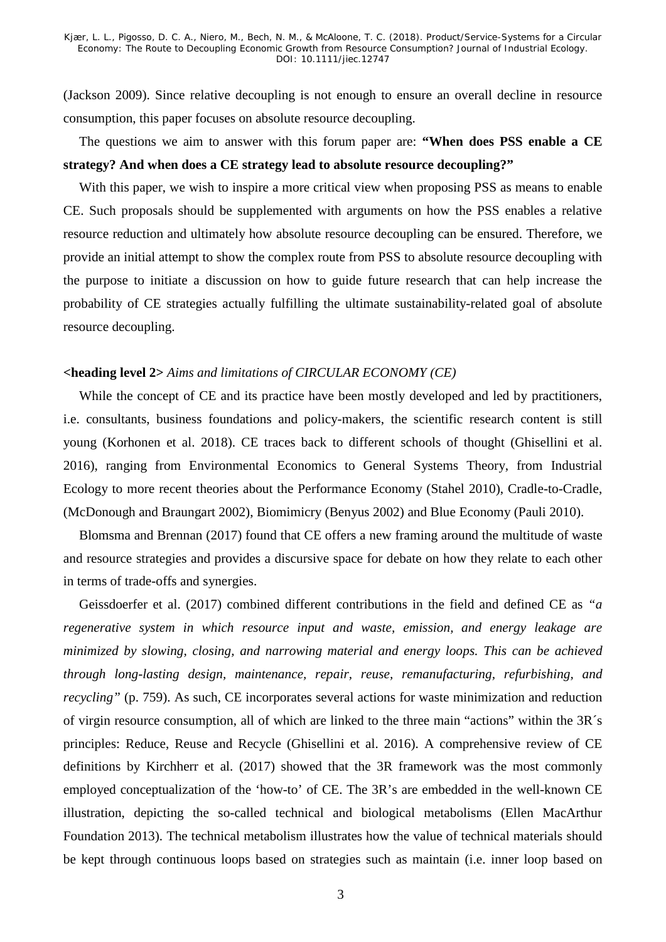(Jackson 2009). Since relative decoupling is not enough to ensure an overall decline in resource consumption, this paper focuses on absolute resource decoupling.

## The questions we aim to answer with this forum paper are: **"When does PSS enable a CE strategy? And when does a CE strategy lead to absolute resource decoupling?"**

With this paper, we wish to inspire a more critical view when proposing PSS as means to enable CE. Such proposals should be supplemented with arguments on how the PSS enables a relative resource reduction and ultimately how absolute resource decoupling can be ensured. Therefore, we provide an initial attempt to show the complex route from PSS to absolute resource decoupling with the purpose to initiate a discussion on how to guide future research that can help increase the probability of CE strategies actually fulfilling the ultimate sustainability-related goal of absolute resource decoupling.

## **<heading level 2>** *Aims and limitations of CIRCULAR ECONOMY (CE)*

While the concept of CE and its practice have been mostly developed and led by practitioners, i.e. consultants, business foundations and policy-makers, the scientific research content is still young (Korhonen et al. 2018). CE traces back to different schools of thought (Ghisellini et al. 2016), ranging from Environmental Economics to General Systems Theory, from Industrial Ecology to more recent theories about the Performance Economy (Stahel 2010), Cradle-to-Cradle, (McDonough and Braungart 2002), Biomimicry (Benyus 2002) and Blue Economy (Pauli 2010).

Blomsma and Brennan (2017) found that CE offers a new framing around the multitude of waste and resource strategies and provides a discursive space for debate on how they relate to each other in terms of trade-offs and synergies.

Geissdoerfer et al. (2017) combined different contributions in the field and defined CE as *"a regenerative system in which resource input and waste, emission, and energy leakage are minimized by slowing, closing, and narrowing material and energy loops. This can be achieved through long-lasting design, maintenance, repair, reuse, remanufacturing, refurbishing, and recycling"* (p. 759). As such, CE incorporates several actions for waste minimization and reduction of virgin resource consumption, all of which are linked to the three main "actions" within the 3R´s principles: Reduce, Reuse and Recycle (Ghisellini et al. 2016). A comprehensive review of CE definitions by Kirchherr et al. (2017) showed that the 3R framework was the most commonly employed conceptualization of the 'how-to' of CE. The 3R's are embedded in the well-known CE illustration, depicting the so-called technical and biological metabolisms (Ellen MacArthur Foundation 2013). The technical metabolism illustrates how the value of technical materials should be kept through continuous loops based on strategies such as maintain (i.e. inner loop based on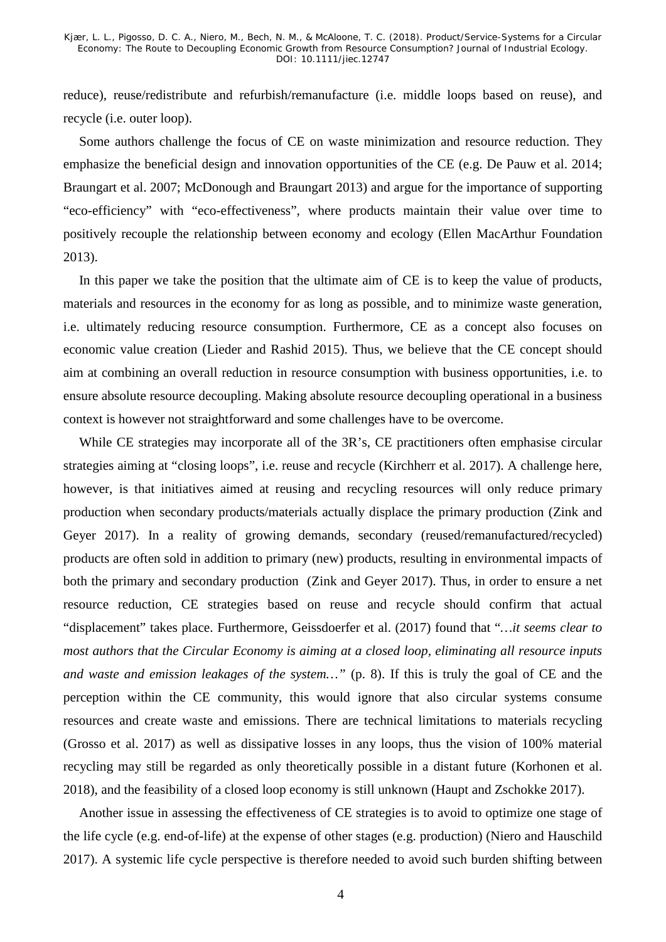reduce), reuse/redistribute and refurbish/remanufacture (i.e. middle loops based on reuse), and recycle (i.e. outer loop).

Some authors challenge the focus of CE on waste minimization and resource reduction. They emphasize the beneficial design and innovation opportunities of the CE (e.g. De Pauw et al. 2014; Braungart et al. 2007; McDonough and Braungart 2013) and argue for the importance of supporting "eco-efficiency" with "eco-effectiveness", where products maintain their value over time to positively recouple the relationship between economy and ecology (Ellen MacArthur Foundation 2013).

In this paper we take the position that the ultimate aim of CE is to keep the value of products, materials and resources in the economy for as long as possible, and to minimize waste generation, i.e. ultimately reducing resource consumption. Furthermore, CE as a concept also focuses on economic value creation (Lieder and Rashid 2015). Thus, we believe that the CE concept should aim at combining an overall reduction in resource consumption with business opportunities, i.e. to ensure absolute resource decoupling. Making absolute resource decoupling operational in a business context is however not straightforward and some challenges have to be overcome.

While CE strategies may incorporate all of the 3R's, CE practitioners often emphasise circular strategies aiming at "closing loops", i.e. reuse and recycle (Kirchherr et al. 2017). A challenge here, however, is that initiatives aimed at reusing and recycling resources will only reduce primary production when secondary products/materials actually displace the primary production (Zink and Geyer 2017). In a reality of growing demands, secondary (reused/remanufactured/recycled) products are often sold in addition to primary (new) products, resulting in environmental impacts of both the primary and secondary production (Zink and Geyer 2017). Thus, in order to ensure a net resource reduction, CE strategies based on reuse and recycle should confirm that actual "displacement" takes place. Furthermore, Geissdoerfer et al. (2017) found that "*…it seems clear to most authors that the Circular Economy is aiming at a closed loop, eliminating all resource inputs and waste and emission leakages of the system…"* (p. 8). If this is truly the goal of CE and the perception within the CE community, this would ignore that also circular systems consume resources and create waste and emissions. There are technical limitations to materials recycling (Grosso et al. 2017) as well as dissipative losses in any loops, thus the vision of 100% material recycling may still be regarded as only theoretically possible in a distant future (Korhonen et al. 2018), and the feasibility of a closed loop economy is still unknown (Haupt and Zschokke 2017).

Another issue in assessing the effectiveness of CE strategies is to avoid to optimize one stage of the life cycle (e.g. end-of-life) at the expense of other stages (e.g. production) (Niero and Hauschild 2017). A systemic life cycle perspective is therefore needed to avoid such burden shifting between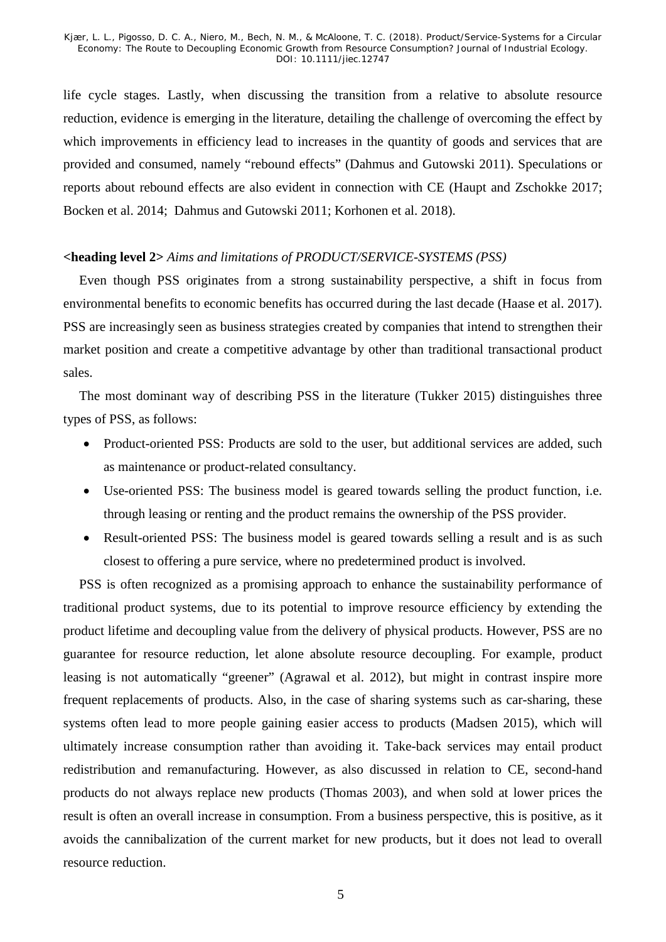life cycle stages. Lastly, when discussing the transition from a relative to absolute resource reduction, evidence is emerging in the literature, detailing the challenge of overcoming the effect by which improvements in efficiency lead to increases in the quantity of goods and services that are provided and consumed, namely "rebound effects" (Dahmus and Gutowski 2011). Speculations or reports about rebound effects are also evident in connection with CE (Haupt and Zschokke 2017; Bocken et al. 2014; Dahmus and Gutowski 2011; Korhonen et al. 2018).

#### **<heading level 2>** *Aims and limitations of PRODUCT/SERVICE-SYSTEMS (PSS)*

Even though PSS originates from a strong sustainability perspective, a shift in focus from environmental benefits to economic benefits has occurred during the last decade (Haase et al. 2017). PSS are increasingly seen as business strategies created by companies that intend to strengthen their market position and create a competitive advantage by other than traditional transactional product sales.

The most dominant way of describing PSS in the literature (Tukker 2015) distinguishes three types of PSS, as follows:

- Product-oriented PSS: Products are sold to the user, but additional services are added, such as maintenance or product-related consultancy.
- Use-oriented PSS: The business model is geared towards selling the product function, i.e. through leasing or renting and the product remains the ownership of the PSS provider.
- Result-oriented PSS: The business model is geared towards selling a result and is as such closest to offering a pure service, where no predetermined product is involved.

PSS is often recognized as a promising approach to enhance the sustainability performance of traditional product systems, due to its potential to improve resource efficiency by extending the product lifetime and decoupling value from the delivery of physical products. However, PSS are no guarantee for resource reduction, let alone absolute resource decoupling. For example, product leasing is not automatically "greener" (Agrawal et al. 2012), but might in contrast inspire more frequent replacements of products. Also, in the case of sharing systems such as car-sharing, these systems often lead to more people gaining easier access to products (Madsen 2015), which will ultimately increase consumption rather than avoiding it. Take-back services may entail product redistribution and remanufacturing. However, as also discussed in relation to CE, second-hand products do not always replace new products (Thomas 2003), and when sold at lower prices the result is often an overall increase in consumption. From a business perspective, this is positive, as it avoids the cannibalization of the current market for new products, but it does not lead to overall resource reduction.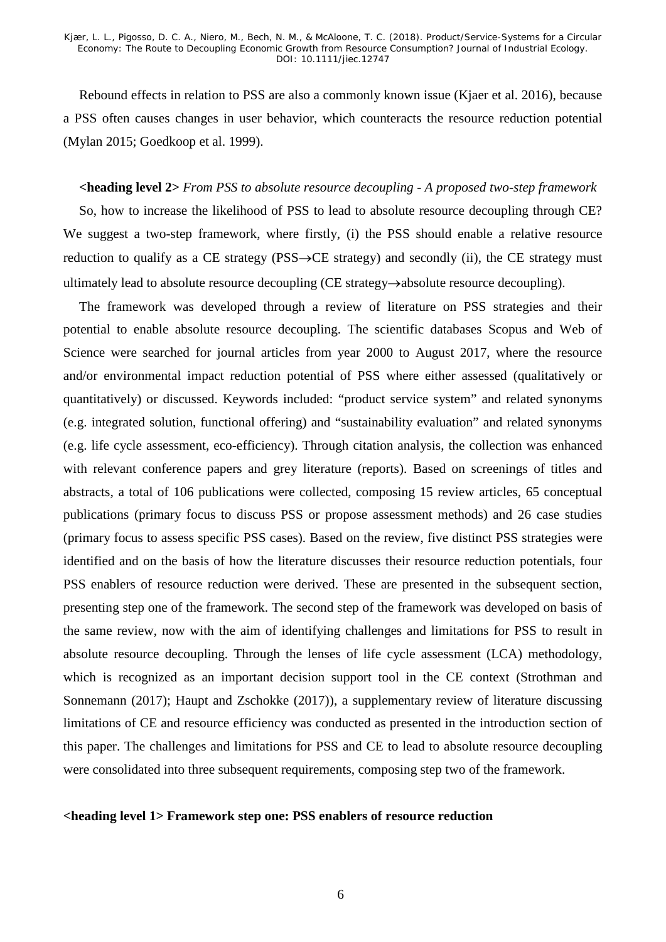Rebound effects in relation to PSS are also a commonly known issue (Kjaer et al. 2016), because a PSS often causes changes in user behavior, which counteracts the resource reduction potential (Mylan 2015; Goedkoop et al. 1999).

#### **<heading level 2>** *From PSS to absolute resource decoupling - A proposed two-step framework*

So, how to increase the likelihood of PSS to lead to absolute resource decoupling through CE? We suggest a two-step framework, where firstly, (i) the PSS should enable a relative resource reduction to qualify as a CE strategy (PSS→CE strategy) and secondly (ii), the CE strategy must ultimately lead to absolute resource decoupling (CE strategy→absolute resource decoupling).

The framework was developed through a review of literature on PSS strategies and their potential to enable absolute resource decoupling. The scientific databases Scopus and Web of Science were searched for journal articles from year 2000 to August 2017, where the resource and/or environmental impact reduction potential of PSS where either assessed (qualitatively or quantitatively) or discussed. Keywords included: "product service system" and related synonyms (e.g. integrated solution, functional offering) and "sustainability evaluation" and related synonyms (e.g. life cycle assessment, eco-efficiency). Through citation analysis, the collection was enhanced with relevant conference papers and grey literature (reports). Based on screenings of titles and abstracts, a total of 106 publications were collected, composing 15 review articles, 65 conceptual publications (primary focus to discuss PSS or propose assessment methods) and 26 case studies (primary focus to assess specific PSS cases). Based on the review, five distinct PSS strategies were identified and on the basis of how the literature discusses their resource reduction potentials, four PSS enablers of resource reduction were derived. These are presented in the subsequent section, presenting step one of the framework. The second step of the framework was developed on basis of the same review, now with the aim of identifying challenges and limitations for PSS to result in absolute resource decoupling. Through the lenses of life cycle assessment (LCA) methodology, which is recognized as an important decision support tool in the CE context (Strothman and Sonnemann (2017); Haupt and Zschokke (2017)), a supplementary review of literature discussing limitations of CE and resource efficiency was conducted as presented in the introduction section of this paper. The challenges and limitations for PSS and CE to lead to absolute resource decoupling were consolidated into three subsequent requirements, composing step two of the framework.

#### **<heading level 1> Framework step one: PSS enablers of resource reduction**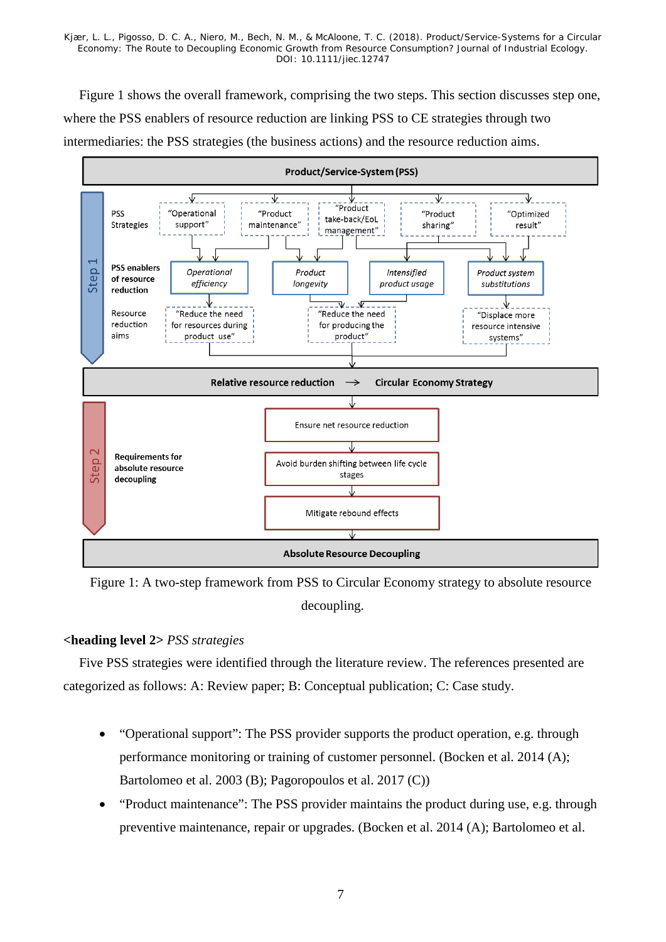Figure 1 shows the overall framework, comprising the two steps. This section discusses step one, where the PSS enablers of resource reduction are linking PSS to CE strategies through two intermediaries: the PSS strategies (the business actions) and the resource reduction aims.



<span id="page-7-0"></span>Figure 1: A two-step framework from PSS to Circular Economy strategy to absolute resource decoupling.

## **<heading level 2>** *PSS strategies*

Five PSS strategies were identified through the literature review. The references presented are categorized as follows: A: Review paper; B: Conceptual publication; C: Case study.

- "Operational support": The PSS provider supports the product operation, e.g. through performance monitoring or training of customer personnel. (Bocken et al. 2014 (A); Bartolomeo et al. 2003 (B); Pagoropoulos et al. 2017 (C))
- "Product maintenance": The PSS provider maintains the product during use, e.g. through preventive maintenance, repair or upgrades. (Bocken et al. 2014 (A); Bartolomeo et al.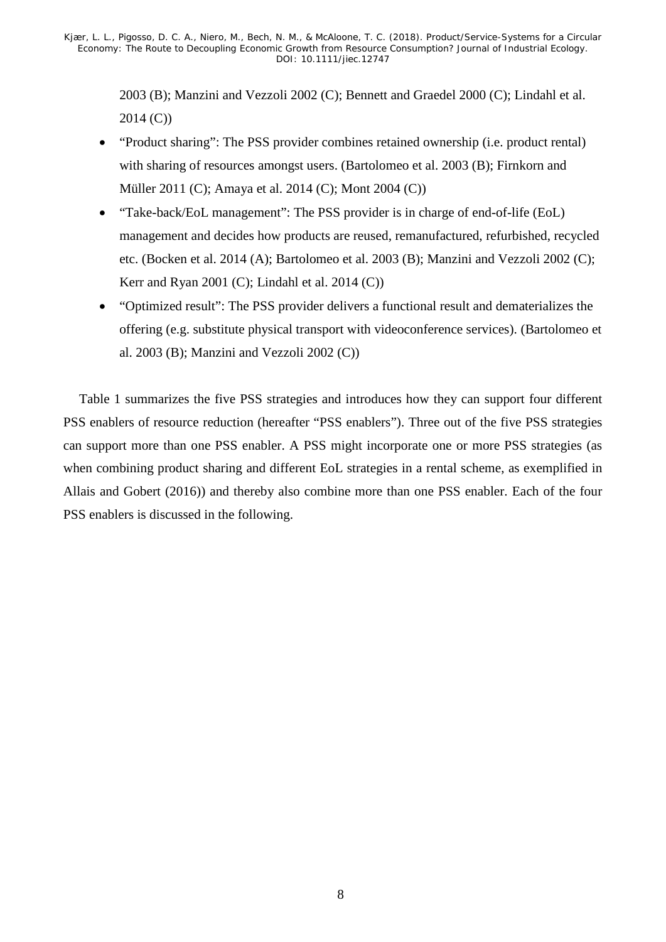2003 (B); Manzini and Vezzoli 2002 (C); Bennett and Graedel 2000 (C); Lindahl et al. 2014 (C))

- "Product sharing": The PSS provider combines retained ownership (i.e. product rental) with sharing of resources amongst users. (Bartolomeo et al. 2003 (B); Firnkorn and Müller 2011 (C); Amaya et al. 2014 (C); Mont 2004 (C))
- "Take-back/EoL management": The PSS provider is in charge of end-of-life (EoL) management and decides how products are reused, remanufactured, refurbished, recycled etc. (Bocken et al. 2014 (A); Bartolomeo et al. 2003 (B); Manzini and Vezzoli 2002 (C); Kerr and Ryan 2001 (C); Lindahl et al. 2014 (C))
- "Optimized result": The PSS provider delivers a functional result and dematerializes the offering (e.g. substitute physical transport with videoconference services). (Bartolomeo et al. 2003 (B); Manzini and Vezzoli 2002 (C))

Table 1 summarizes the five PSS strategies and introduces how they can support four different PSS enablers of resource reduction (hereafter "PSS enablers"). Three out of the five PSS strategies can support more than one PSS enabler. A PSS might incorporate one or more PSS strategies (as when combining product sharing and different EoL strategies in a rental scheme, as exemplified in Allais and Gobert (2016)) and thereby also combine more than one PSS enabler. Each of the four PSS enablers is discussed in the following.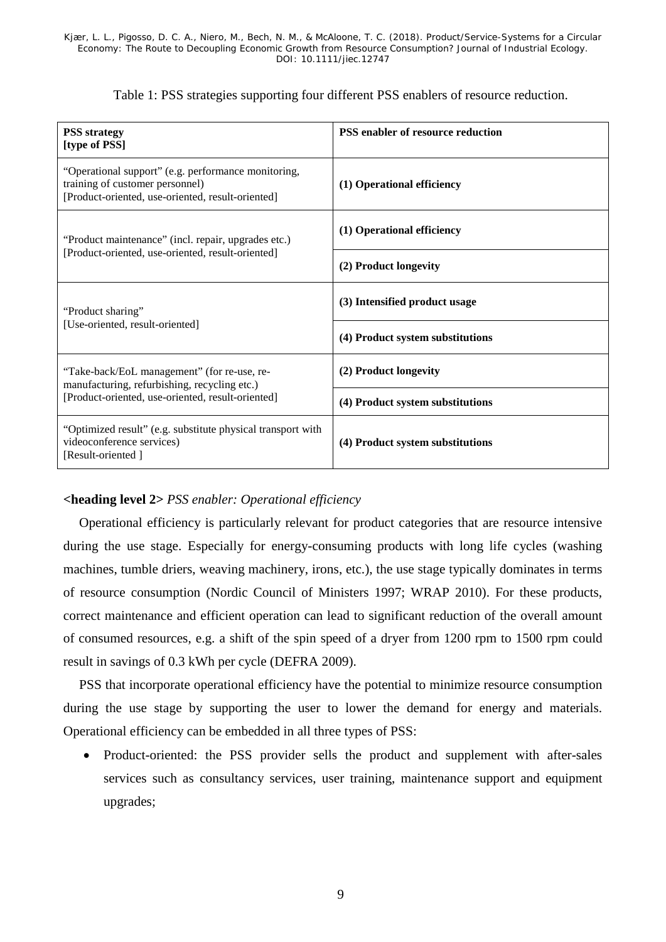|  |  |  |  |  |  | Table 1: PSS strategies supporting four different PSS enablers of resource reduction. |
|--|--|--|--|--|--|---------------------------------------------------------------------------------------|
|--|--|--|--|--|--|---------------------------------------------------------------------------------------|

<span id="page-9-0"></span>

| <b>PSS</b> strategy<br>[type of PSS]                                                                                                        | PSS enabler of resource reduction |
|---------------------------------------------------------------------------------------------------------------------------------------------|-----------------------------------|
| "Operational support" (e.g. performance monitoring,<br>training of customer personnel)<br>[Product-oriented, use-oriented, result-oriented] | (1) Operational efficiency        |
| "Product maintenance" (incl. repair, upgrades etc.)                                                                                         | (1) Operational efficiency        |
| [Product-oriented, use-oriented, result-oriented]                                                                                           | (2) Product longevity             |
| "Product sharing"                                                                                                                           | (3) Intensified product usage     |
| [Use-oriented, result-oriented]                                                                                                             | (4) Product system substitutions  |
| "Take-back/EoL management" (for re-use, re-<br>manufacturing, refurbishing, recycling etc.)                                                 | (2) Product longevity             |
| [Product-oriented, use-oriented, result-oriented]                                                                                           | (4) Product system substitutions  |
| "Optimized result" (e.g. substitute physical transport with<br>videoconference services)<br>[Result-oriented]                               | (4) Product system substitutions  |

## **<heading level 2>** *PSS enabler: Operational efficiency*

Operational efficiency is particularly relevant for product categories that are resource intensive during the use stage. Especially for energy-consuming products with long life cycles (washing machines, tumble driers, weaving machinery, irons, etc.), the use stage typically dominates in terms of resource consumption (Nordic Council of Ministers 1997; WRAP 2010). For these products, correct maintenance and efficient operation can lead to significant reduction of the overall amount of consumed resources, e.g. a shift of the spin speed of a dryer from 1200 rpm to 1500 rpm could result in savings of 0.3 kWh per cycle (DEFRA 2009).

PSS that incorporate operational efficiency have the potential to minimize resource consumption during the use stage by supporting the user to lower the demand for energy and materials. Operational efficiency can be embedded in all three types of PSS:

• Product-oriented: the PSS provider sells the product and supplement with after-sales services such as consultancy services, user training, maintenance support and equipment upgrades;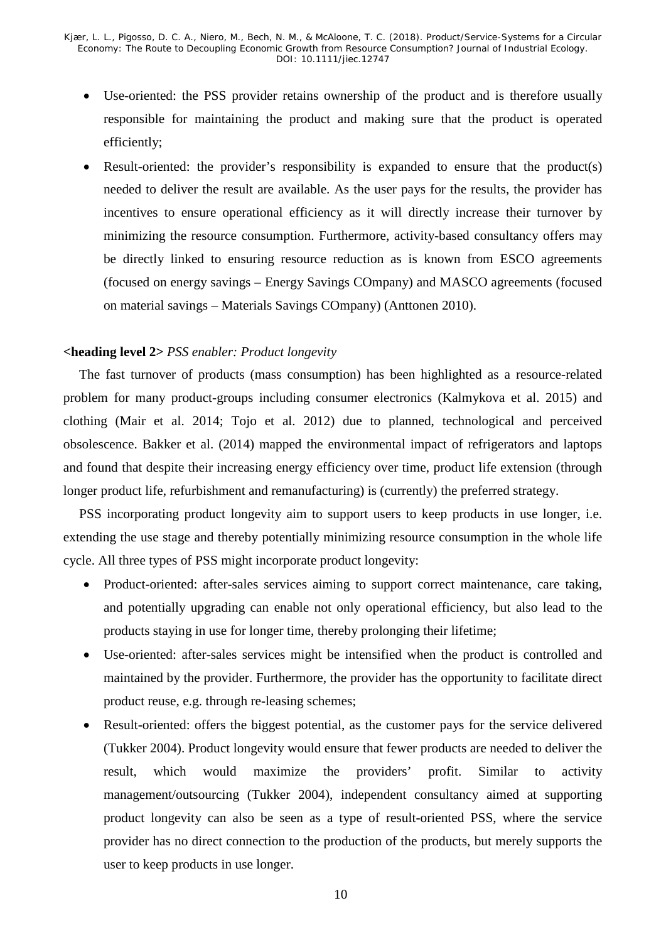- Use-oriented: the PSS provider retains ownership of the product and is therefore usually responsible for maintaining the product and making sure that the product is operated efficiently;
- Result-oriented: the provider's responsibility is expanded to ensure that the product(s) needed to deliver the result are available. As the user pays for the results, the provider has incentives to ensure operational efficiency as it will directly increase their turnover by minimizing the resource consumption. Furthermore, activity-based consultancy offers may be directly linked to ensuring resource reduction as is known from ESCO agreements (focused on energy savings – Energy Savings COmpany) and MASCO agreements (focused on material savings – Materials Savings COmpany) (Anttonen 2010).

## **<heading level 2>** *PSS enabler: Product longevity*

The fast turnover of products (mass consumption) has been highlighted as a resource-related problem for many product-groups including consumer electronics (Kalmykova et al. 2015) and clothing (Mair et al. 2014; Tojo et al. 2012) due to planned, technological and perceived obsolescence. Bakker et al. (2014) mapped the environmental impact of refrigerators and laptops and found that despite their increasing energy efficiency over time, product life extension (through longer product life, refurbishment and remanufacturing) is (currently) the preferred strategy.

PSS incorporating product longevity aim to support users to keep products in use longer, i.e. extending the use stage and thereby potentially minimizing resource consumption in the whole life cycle. All three types of PSS might incorporate product longevity:

- Product-oriented: after-sales services aiming to support correct maintenance, care taking, and potentially upgrading can enable not only operational efficiency, but also lead to the products staying in use for longer time, thereby prolonging their lifetime;
- Use-oriented: after-sales services might be intensified when the product is controlled and maintained by the provider. Furthermore, the provider has the opportunity to facilitate direct product reuse, e.g. through re-leasing schemes;
- Result-oriented: offers the biggest potential, as the customer pays for the service delivered (Tukker 2004). Product longevity would ensure that fewer products are needed to deliver the result, which would maximize the providers' profit. Similar to activity management/outsourcing (Tukker 2004), independent consultancy aimed at supporting product longevity can also be seen as a type of result-oriented PSS, where the service provider has no direct connection to the production of the products, but merely supports the user to keep products in use longer.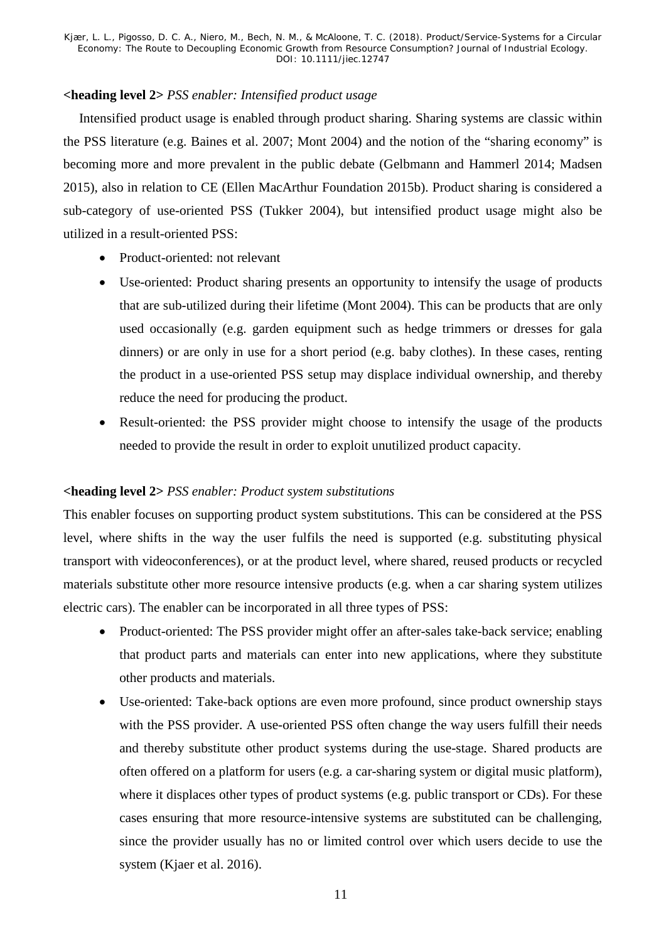## **<heading level 2>** *PSS enabler: Intensified product usage*

Intensified product usage is enabled through product sharing. Sharing systems are classic within the PSS literature (e.g. Baines et al. 2007; Mont 2004) and the notion of the "sharing economy" is becoming more and more prevalent in the public debate (Gelbmann and Hammerl 2014; Madsen 2015), also in relation to CE (Ellen MacArthur Foundation 2015b). Product sharing is considered a sub-category of use-oriented PSS (Tukker 2004), but intensified product usage might also be utilized in a result-oriented PSS:

- Product-oriented: not relevant
- Use-oriented: Product sharing presents an opportunity to intensify the usage of products that are sub-utilized during their lifetime (Mont 2004). This can be products that are only used occasionally (e.g. garden equipment such as hedge trimmers or dresses for gala dinners) or are only in use for a short period (e.g. baby clothes). In these cases, renting the product in a use-oriented PSS setup may displace individual ownership, and thereby reduce the need for producing the product.
- Result-oriented: the PSS provider might choose to intensify the usage of the products needed to provide the result in order to exploit unutilized product capacity.

## **<heading level 2>** *PSS enabler: Product system substitutions*

This enabler focuses on supporting product system substitutions. This can be considered at the PSS level, where shifts in the way the user fulfils the need is supported (e.g. substituting physical transport with videoconferences), or at the product level, where shared, reused products or recycled materials substitute other more resource intensive products (e.g. when a car sharing system utilizes electric cars). The enabler can be incorporated in all three types of PSS:

- Product-oriented: The PSS provider might offer an after-sales take-back service; enabling that product parts and materials can enter into new applications, where they substitute other products and materials.
- Use-oriented: Take-back options are even more profound, since product ownership stays with the PSS provider. A use-oriented PSS often change the way users fulfill their needs and thereby substitute other product systems during the use-stage. Shared products are often offered on a platform for users (e.g. a car-sharing system or digital music platform), where it displaces other types of product systems (e.g. public transport or CDs). For these cases ensuring that more resource-intensive systems are substituted can be challenging, since the provider usually has no or limited control over which users decide to use the system (Kjaer et al. 2016).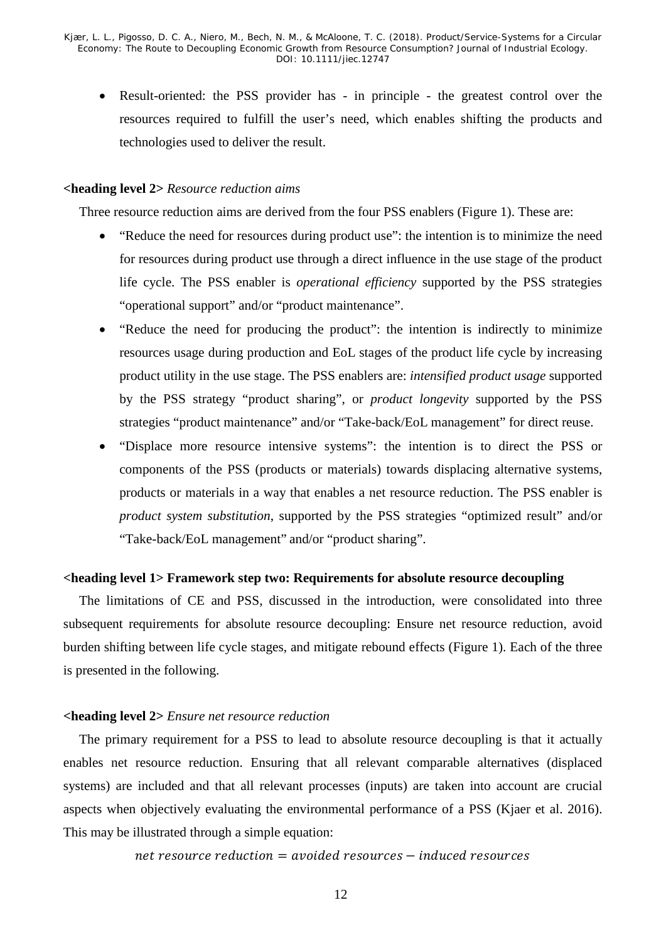• Result-oriented: the PSS provider has - in principle - the greatest control over the resources required to fulfill the user's need, which enables shifting the products and technologies used to deliver the result.

#### **<heading level 2>** *Resource reduction aims*

Three resource reduction aims are derived from the four PSS enablers [\(Figure 1\)](#page-7-0). These are:

- "Reduce the need for resources during product use": the intention is to minimize the need for resources during product use through a direct influence in the use stage of the product life cycle. The PSS enabler is *operational efficiency* supported by the PSS strategies "operational support" and/or "product maintenance".
- "Reduce the need for producing the product": the intention is indirectly to minimize resources usage during production and EoL stages of the product life cycle by increasing product utility in the use stage. The PSS enablers are: *intensified product usage* supported by the PSS strategy "product sharing", or *product longevity* supported by the PSS strategies "product maintenance" and/or "Take-back/EoL management" for direct reuse.
- "Displace more resource intensive systems": the intention is to direct the PSS or components of the PSS (products or materials) towards displacing alternative systems, products or materials in a way that enables a net resource reduction. The PSS enabler is *product system substitution*, supported by the PSS strategies "optimized result" and/or "Take-back/EoL management" and/or "product sharing".

#### **<heading level 1> Framework step two: Requirements for absolute resource decoupling**

The limitations of CE and PSS, discussed in the introduction, were consolidated into three subsequent requirements for absolute resource decoupling: Ensure net resource reduction, avoid burden shifting between life cycle stages, and mitigate rebound effects (Figure 1). Each of the three is presented in the following.

#### **<heading level 2>** *Ensure net resource reduction*

The primary requirement for a PSS to lead to absolute resource decoupling is that it actually enables net resource reduction. Ensuring that all relevant comparable alternatives (displaced systems) are included and that all relevant processes (inputs) are taken into account are crucial aspects when objectively evaluating the environmental performance of a PSS (Kjaer et al. 2016). This may be illustrated through a simple equation:

## $net$  resource reduction = avoided resources  $-$  induced resources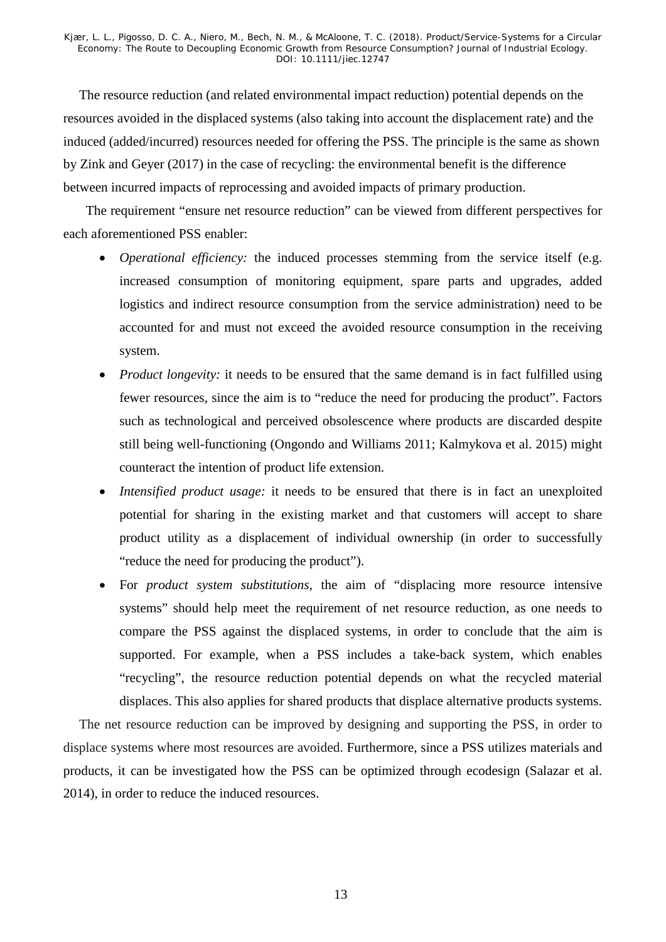The resource reduction (and related environmental impact reduction) potential depends on the resources avoided in the displaced systems (also taking into account the displacement rate) and the induced (added/incurred) resources needed for offering the PSS. The principle is the same as shown by Zink and Geyer (2017) in the case of recycling: the environmental benefit is the difference between incurred impacts of reprocessing and avoided impacts of primary production.

The requirement "ensure net resource reduction" can be viewed from different perspectives for each aforementioned PSS enabler:

- *Operational efficiency:* the induced processes stemming from the service itself (e.g. increased consumption of monitoring equipment, spare parts and upgrades, added logistics and indirect resource consumption from the service administration) need to be accounted for and must not exceed the avoided resource consumption in the receiving system.
- *Product longevity:* it needs to be ensured that the same demand is in fact fulfilled using fewer resources, since the aim is to "reduce the need for producing the product". Factors such as technological and perceived obsolescence where products are discarded despite still being well-functioning (Ongondo and Williams 2011; Kalmykova et al. 2015) might counteract the intention of product life extension.
- *Intensified product usage:* it needs to be ensured that there is in fact an unexploited potential for sharing in the existing market and that customers will accept to share product utility as a displacement of individual ownership (in order to successfully "reduce the need for producing the product").
- For *product system substitutions,* the aim of "displacing more resource intensive systems" should help meet the requirement of net resource reduction, as one needs to compare the PSS against the displaced systems, in order to conclude that the aim is supported. For example, when a PSS includes a take-back system, which enables "recycling", the resource reduction potential depends on what the recycled material displaces. This also applies for shared products that displace alternative products systems.

The net resource reduction can be improved by designing and supporting the PSS, in order to displace systems where most resources are avoided. Furthermore, since a PSS utilizes materials and products, it can be investigated how the PSS can be optimized through ecodesign (Salazar et al. 2014), in order to reduce the induced resources.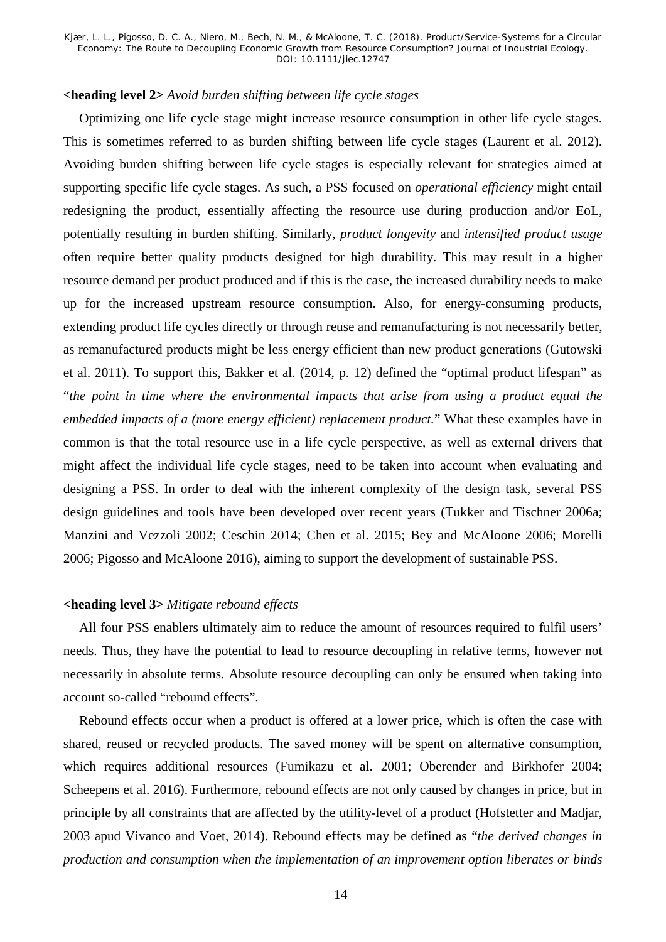## **<heading level 2>** *Avoid burden shifting between life cycle stages*

Optimizing one life cycle stage might increase resource consumption in other life cycle stages. This is sometimes referred to as burden shifting between life cycle stages (Laurent et al. 2012). Avoiding burden shifting between life cycle stages is especially relevant for strategies aimed at supporting specific life cycle stages. As such, a PSS focused on *operational efficiency* might entail redesigning the product, essentially affecting the resource use during production and/or EoL, potentially resulting in burden shifting. Similarly, *product longevity* and *intensified product usage* often require better quality products designed for high durability. This may result in a higher resource demand per product produced and if this is the case, the increased durability needs to make up for the increased upstream resource consumption. Also, for energy-consuming products, extending product life cycles directly or through reuse and remanufacturing is not necessarily better, as remanufactured products might be less energy efficient than new product generations (Gutowski et al. 2011). To support this, Bakker et al. (2014, p. 12) defined the "optimal product lifespan" as "*the point in time where the environmental impacts that arise from using a product equal the embedded impacts of a (more energy efficient) replacement product.*" What these examples have in common is that the total resource use in a life cycle perspective, as well as external drivers that might affect the individual life cycle stages, need to be taken into account when evaluating and designing a PSS. In order to deal with the inherent complexity of the design task, several PSS design guidelines and tools have been developed over recent years (Tukker and Tischner 2006a; Manzini and Vezzoli 2002; Ceschin 2014; Chen et al. 2015; Bey and McAloone 2006; Morelli 2006; Pigosso and McAloone 2016), aiming to support the development of sustainable PSS.

## **<heading level 3>** *Mitigate rebound effects*

All four PSS enablers ultimately aim to reduce the amount of resources required to fulfil users' needs. Thus, they have the potential to lead to resource decoupling in relative terms, however not necessarily in absolute terms. Absolute resource decoupling can only be ensured when taking into account so-called "rebound effects".

Rebound effects occur when a product is offered at a lower price, which is often the case with shared, reused or recycled products. The saved money will be spent on alternative consumption, which requires additional resources (Fumikazu et al. 2001; Oberender and Birkhofer 2004; Scheepens et al. 2016). Furthermore, rebound effects are not only caused by changes in price, but in principle by all constraints that are affected by the utility-level of a product (Hofstetter and Madjar, 2003 apud Vivanco and Voet, 2014). Rebound effects may be defined as "*the derived changes in production and consumption when the implementation of an improvement option liberates or binds*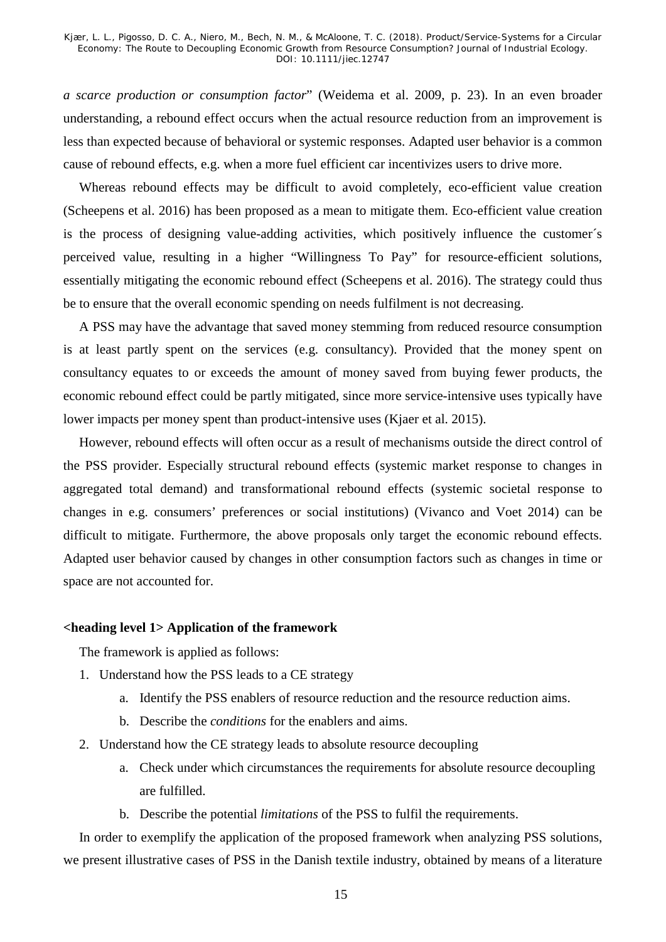*a scarce production or consumption factor*" (Weidema et al. 2009, p. 23). In an even broader understanding, a rebound effect occurs when the actual resource reduction from an improvement is less than expected because of behavioral or systemic responses. Adapted user behavior is a common cause of rebound effects, e.g. when a more fuel efficient car incentivizes users to drive more.

Whereas rebound effects may be difficult to avoid completely, eco-efficient value creation (Scheepens et al. 2016) has been proposed as a mean to mitigate them. Eco-efficient value creation is the process of designing value-adding activities, which positively influence the customer´s perceived value, resulting in a higher "Willingness To Pay" for resource-efficient solutions, essentially mitigating the economic rebound effect (Scheepens et al. 2016). The strategy could thus be to ensure that the overall economic spending on needs fulfilment is not decreasing.

A PSS may have the advantage that saved money stemming from reduced resource consumption is at least partly spent on the services (e.g. consultancy). Provided that the money spent on consultancy equates to or exceeds the amount of money saved from buying fewer products, the economic rebound effect could be partly mitigated, since more service-intensive uses typically have lower impacts per money spent than product-intensive uses (Kjaer et al. 2015).

However, rebound effects will often occur as a result of mechanisms outside the direct control of the PSS provider. Especially structural rebound effects (systemic market response to changes in aggregated total demand) and transformational rebound effects (systemic societal response to changes in e.g. consumers' preferences or social institutions) (Vivanco and Voet 2014) can be difficult to mitigate. Furthermore, the above proposals only target the economic rebound effects. Adapted user behavior caused by changes in other consumption factors such as changes in time or space are not accounted for.

#### **<heading level 1> Application of the framework**

The framework is applied as follows:

- 1. Understand how the PSS leads to a CE strategy
	- a. Identify the PSS enablers of resource reduction and the resource reduction aims.
	- b. Describe the *conditions* for the enablers and aims.
- 2. Understand how the CE strategy leads to absolute resource decoupling
	- a. Check under which circumstances the requirements for absolute resource decoupling are fulfilled.
	- b. Describe the potential *limitations* of the PSS to fulfil the requirements.

In order to exemplify the application of the proposed framework when analyzing PSS solutions, we present illustrative cases of PSS in the Danish textile industry, obtained by means of a literature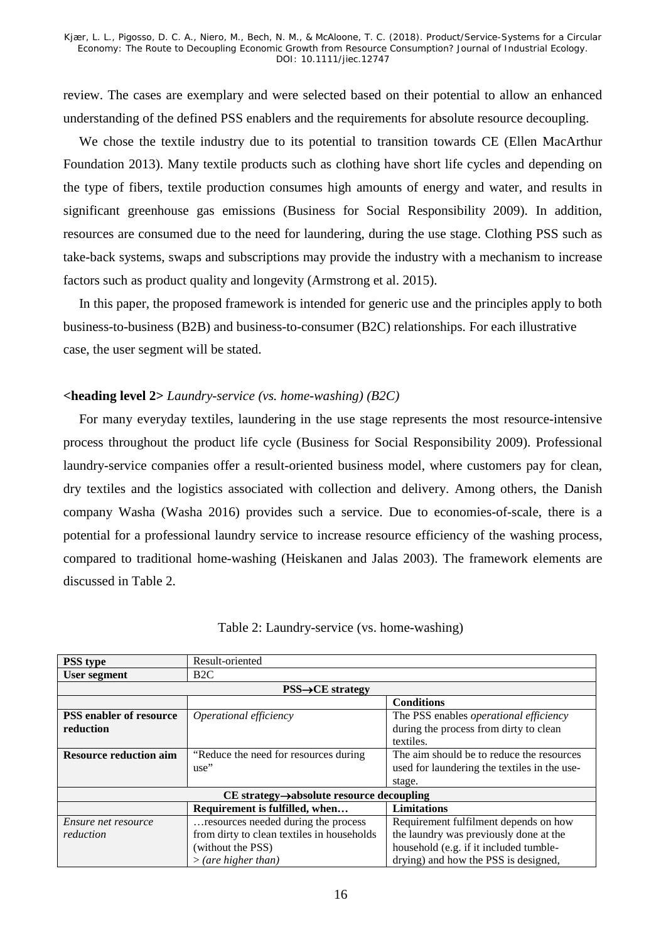review. The cases are exemplary and were selected based on their potential to allow an enhanced understanding of the defined PSS enablers and the requirements for absolute resource decoupling.

We chose the textile industry due to its potential to transition towards CE (Ellen MacArthur Foundation 2013). Many textile products such as clothing have short life cycles and depending on the type of fibers, textile production consumes high amounts of energy and water, and results in significant greenhouse gas emissions (Business for Social Responsibility 2009). In addition, resources are consumed due to the need for laundering, during the use stage. Clothing PSS such as take-back systems, swaps and subscriptions may provide the industry with a mechanism to increase factors such as product quality and longevity (Armstrong et al. 2015).

In this paper, the proposed framework is intended for generic use and the principles apply to both business-to-business (B2B) and business-to-consumer (B2C) relationships. For each illustrative case, the user segment will be stated.

#### **<heading level 2>** *Laundry-service (vs. home-washing) (B2C)*

For many everyday textiles, laundering in the use stage represents the most resource-intensive process throughout the product life cycle (Business for Social Responsibility 2009). Professional laundry-service companies offer a result-oriented business model, where customers pay for clean, dry textiles and the logistics associated with collection and delivery. Among others, the Danish company Washa (Washa 2016) provides such a service. Due to economies-of-scale, there is a potential for a professional laundry service to increase resource efficiency of the washing process, compared to traditional home-washing (Heiskanen and Jalas 2003). The framework elements are discussed in [Table 2.](#page-16-0)

<span id="page-16-0"></span>

| <b>PSS</b> type                                          | Result-oriented                            |                                               |  |  |
|----------------------------------------------------------|--------------------------------------------|-----------------------------------------------|--|--|
| User segment                                             | B2C                                        |                                               |  |  |
|                                                          | $\text{PSS}\rightarrow \text{CE}$ strategy |                                               |  |  |
|                                                          |                                            | <b>Conditions</b>                             |  |  |
| <b>PSS</b> enabler of resource                           | <i>Operational efficiency</i>              | The PSS enables <i>operational efficiency</i> |  |  |
| reduction                                                |                                            | during the process from dirty to clean        |  |  |
|                                                          |                                            | textiles.                                     |  |  |
| <b>Resource reduction aim</b>                            | "Reduce the need for resources during"     | The aim should be to reduce the resources     |  |  |
|                                                          | use"                                       | used for laundering the textiles in the use-  |  |  |
|                                                          |                                            | stage.                                        |  |  |
| $CE$ strategy $\rightarrow$ absolute resource decoupling |                                            |                                               |  |  |
|                                                          | Requirement is fulfilled, when             | <b>Limitations</b>                            |  |  |
| Ensure net resource                                      | resources needed during the process        | Requirement fulfilment depends on how         |  |  |
| reduction                                                | from dirty to clean textiles in households | the laundry was previously done at the        |  |  |
|                                                          | (without the PSS)                          | household (e.g. if it included tumble-        |  |  |
|                                                          | $>$ (are higher than)                      | drying) and how the PSS is designed,          |  |  |

|  | Table 2: Laundry-service (vs. home-washing) |  |  |  |  |
|--|---------------------------------------------|--|--|--|--|
|--|---------------------------------------------|--|--|--|--|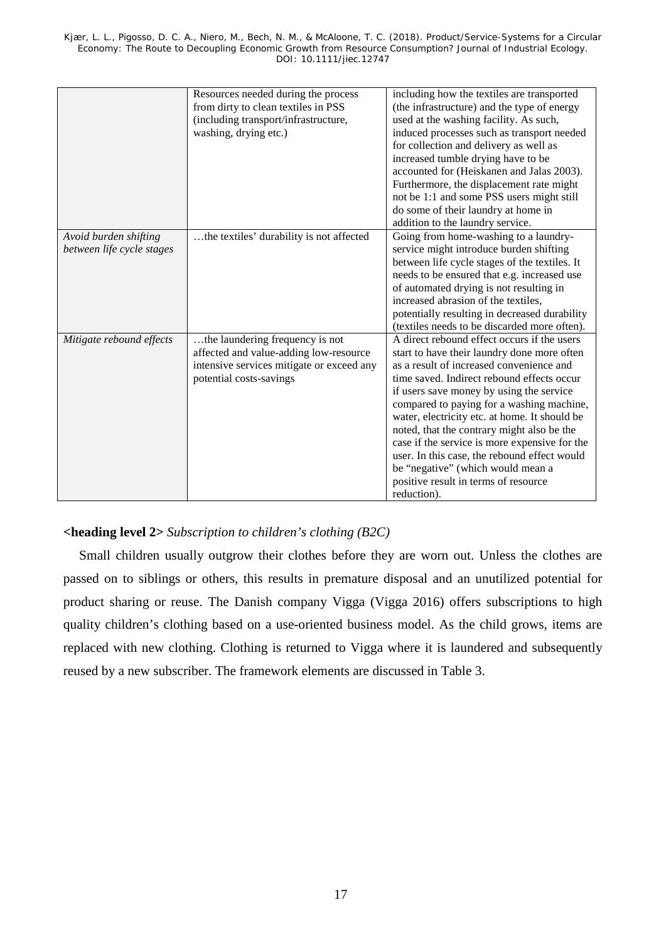|                           | Resources needed during the process       | including how the textiles are transported    |
|---------------------------|-------------------------------------------|-----------------------------------------------|
|                           | from dirty to clean textiles in PSS       | (the infrastructure) and the type of energy   |
|                           | (including transport/infrastructure,      | used at the washing facility. As such,        |
|                           | washing, drying etc.)                     | induced processes such as transport needed    |
|                           |                                           | for collection and delivery as well as        |
|                           |                                           | increased tumble drying have to be            |
|                           |                                           | accounted for (Heiskanen and Jalas 2003).     |
|                           |                                           | Furthermore, the displacement rate might      |
|                           |                                           | not be 1:1 and some PSS users might still     |
|                           |                                           | do some of their laundry at home in           |
|                           |                                           | addition to the laundry service.              |
| Avoid burden shifting     | the textiles' durability is not affected  | Going from home-washing to a laundry-         |
| between life cycle stages |                                           | service might introduce burden shifting       |
|                           |                                           | between life cycle stages of the textiles. It |
|                           |                                           | needs to be ensured that e.g. increased use   |
|                           |                                           | of automated drying is not resulting in       |
|                           |                                           | increased abrasion of the textiles,           |
|                           |                                           | potentially resulting in decreased durability |
|                           |                                           | (textiles needs to be discarded more often).  |
| Mitigate rebound effects  | the laundering frequency is not           | A direct rebound effect occurs if the users   |
|                           | affected and value-adding low-resource    | start to have their laundry done more often   |
|                           | intensive services mitigate or exceed any | as a result of increased convenience and      |
|                           | potential costs-savings                   | time saved. Indirect rebound effects occur    |
|                           |                                           | if users save money by using the service      |
|                           |                                           | compared to paying for a washing machine,     |
|                           |                                           | water, electricity etc. at home. It should be |
|                           |                                           | noted, that the contrary might also be the    |
|                           |                                           | case if the service is more expensive for the |
|                           |                                           | user. In this case, the rebound effect would  |
|                           |                                           | be "negative" (which would mean a             |
|                           |                                           | positive result in terms of resource          |
|                           |                                           | reduction).                                   |

## **<heading level 2>** *Subscription to children's clothing (B2C)*

Small children usually outgrow their clothes before they are worn out. Unless the clothes are passed on to siblings or others, this results in premature disposal and an unutilized potential for product sharing or reuse. The Danish company Vigga (Vigga 2016) offers subscriptions to high quality children's clothing based on a use-oriented business model. As the child grows, items are replaced with new clothing. Clothing is returned to Vigga where it is laundered and subsequently reused by a new subscriber. The framework elements are discussed in Table 3.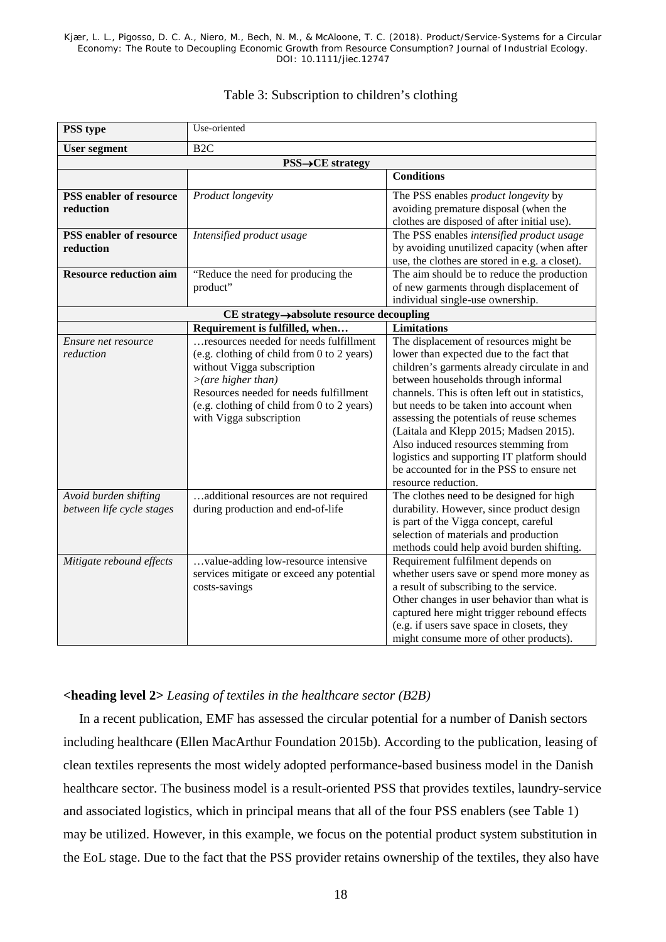| <b>PSS</b> type                                    | Use-oriented                                                                                                                                                                                                                                                |                                                                                                                                                                                                                                                                                                                                                                                                                                                                                                                           |
|----------------------------------------------------|-------------------------------------------------------------------------------------------------------------------------------------------------------------------------------------------------------------------------------------------------------------|---------------------------------------------------------------------------------------------------------------------------------------------------------------------------------------------------------------------------------------------------------------------------------------------------------------------------------------------------------------------------------------------------------------------------------------------------------------------------------------------------------------------------|
| <b>User segment</b>                                | B <sub>2C</sub>                                                                                                                                                                                                                                             |                                                                                                                                                                                                                                                                                                                                                                                                                                                                                                                           |
|                                                    | <b>PSS→CE</b> strategy                                                                                                                                                                                                                                      |                                                                                                                                                                                                                                                                                                                                                                                                                                                                                                                           |
|                                                    |                                                                                                                                                                                                                                                             | <b>Conditions</b>                                                                                                                                                                                                                                                                                                                                                                                                                                                                                                         |
| <b>PSS</b> enabler of resource<br>reduction        | Product longevity                                                                                                                                                                                                                                           | The PSS enables <i>product longevity</i> by<br>avoiding premature disposal (when the<br>clothes are disposed of after initial use).                                                                                                                                                                                                                                                                                                                                                                                       |
| <b>PSS</b> enabler of resource<br>reduction        | Intensified product usage                                                                                                                                                                                                                                   | The PSS enables intensified product usage<br>by avoiding unutilized capacity (when after<br>use, the clothes are stored in e.g. a closet).                                                                                                                                                                                                                                                                                                                                                                                |
| <b>Resource reduction aim</b>                      | "Reduce the need for producing the<br>product"                                                                                                                                                                                                              | The aim should be to reduce the production<br>of new garments through displacement of<br>individual single-use ownership.                                                                                                                                                                                                                                                                                                                                                                                                 |
|                                                    | CE strategy->absolute resource decoupling                                                                                                                                                                                                                   |                                                                                                                                                                                                                                                                                                                                                                                                                                                                                                                           |
|                                                    | Requirement is fulfilled, when                                                                                                                                                                                                                              | <b>Limitations</b>                                                                                                                                                                                                                                                                                                                                                                                                                                                                                                        |
| Ensure net resource<br>reduction                   | resources needed for needs fulfillment<br>(e.g. clothing of child from 0 to 2 years)<br>without Vigga subscription<br>>(are higher than)<br>Resources needed for needs fulfillment<br>(e.g. clothing of child from 0 to 2 years)<br>with Vigga subscription | The displacement of resources might be<br>lower than expected due to the fact that<br>children's garments already circulate in and<br>between households through informal<br>channels. This is often left out in statistics,<br>but needs to be taken into account when<br>assessing the potentials of reuse schemes<br>(Laitala and Klepp 2015; Madsen 2015).<br>Also induced resources stemming from<br>logistics and supporting IT platform should<br>be accounted for in the PSS to ensure net<br>resource reduction. |
| Avoid burden shifting<br>between life cycle stages | .additional resources are not required<br>during production and end-of-life                                                                                                                                                                                 | The clothes need to be designed for high<br>durability. However, since product design<br>is part of the Vigga concept, careful<br>selection of materials and production<br>methods could help avoid burden shifting.                                                                                                                                                                                                                                                                                                      |
| Mitigate rebound effects                           | value-adding low-resource intensive<br>services mitigate or exceed any potential<br>costs-savings                                                                                                                                                           | Requirement fulfilment depends on<br>whether users save or spend more money as<br>a result of subscribing to the service.<br>Other changes in user behavior than what is<br>captured here might trigger rebound effects<br>(e.g. if users save space in closets, they<br>might consume more of other products).                                                                                                                                                                                                           |

## Table 3: Subscription to children's clothing

## **<heading level 2>** *Leasing of textiles in the healthcare sector (B2B)*

In a recent publication, EMF has assessed the circular potential for a number of Danish sectors including healthcare (Ellen MacArthur Foundation 2015b). According to the publication, leasing of clean textiles represents the most widely adopted performance-based business model in the Danish healthcare sector. The business model is a result-oriented PSS that provides textiles, laundry-service and associated logistics, which in principal means that all of the four PSS enablers (see [Table 1\)](#page-9-0) may be utilized. However, in this example, we focus on the potential product system substitution in the EoL stage. Due to the fact that the PSS provider retains ownership of the textiles, they also have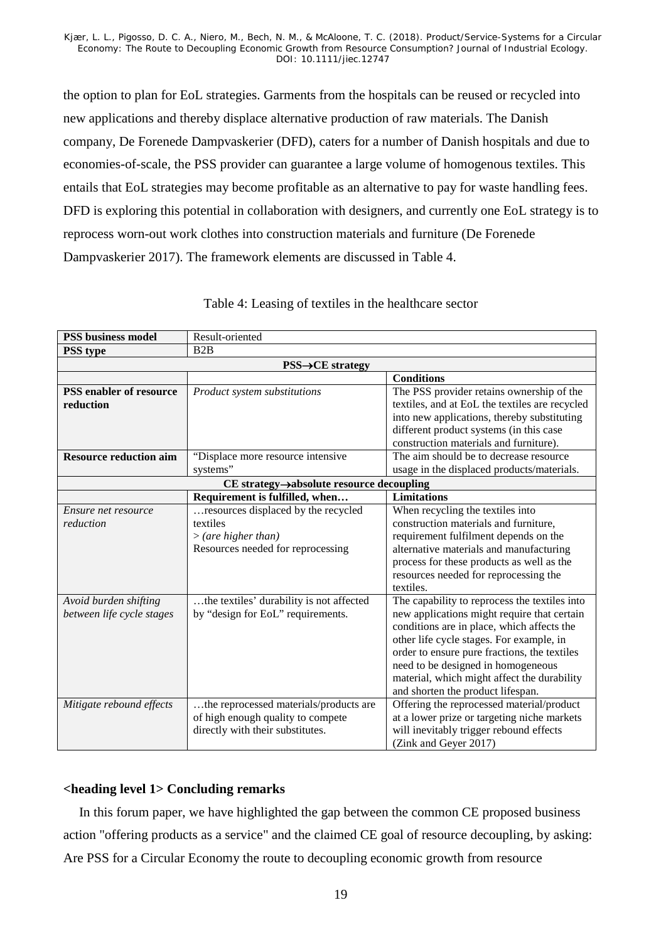the option to plan for EoL strategies. Garments from the hospitals can be reused or recycled into new applications and thereby displace alternative production of raw materials. The Danish company, De Forenede Dampvaskerier (DFD), caters for a number of Danish hospitals and due to economies-of-scale, the PSS provider can guarantee a large volume of homogenous textiles. This entails that EoL strategies may become profitable as an alternative to pay for waste handling fees. DFD is exploring this potential in collaboration with designers, and currently one EoL strategy is to reprocess worn-out work clothes into construction materials and furniture (De Forenede Dampvaskerier 2017). The framework elements are discussed in [Table 4.](#page-19-0)

<span id="page-19-0"></span>

| <b>PSS business model</b>      | Result-oriented                            |                                                |  |
|--------------------------------|--------------------------------------------|------------------------------------------------|--|
| <b>PSS</b> type                | B2B                                        |                                                |  |
|                                | $\text{PSS}\rightarrow \text{CE}$ strategy |                                                |  |
|                                |                                            | <b>Conditions</b>                              |  |
| <b>PSS</b> enabler of resource | Product system substitutions               | The PSS provider retains ownership of the      |  |
| reduction                      |                                            | textiles, and at EoL the textiles are recycled |  |
|                                |                                            | into new applications, thereby substituting    |  |
|                                |                                            | different product systems (in this case        |  |
|                                |                                            | construction materials and furniture).         |  |
| <b>Resource reduction aim</b>  | "Displace more resource intensive          | The aim should be to decrease resource         |  |
|                                | systems"                                   | usage in the displaced products/materials.     |  |
|                                | CE strategy->absolute resource decoupling  |                                                |  |
|                                | Requirement is fulfilled, when             | <b>Limitations</b>                             |  |
| Ensure net resource            | resources displaced by the recycled        | When recycling the textiles into               |  |
| reduction                      | textiles                                   | construction materials and furniture,          |  |
|                                | >(are higher than)                         | requirement fulfilment depends on the          |  |
|                                | Resources needed for reprocessing          | alternative materials and manufacturing        |  |
|                                |                                            | process for these products as well as the      |  |
|                                |                                            | resources needed for reprocessing the          |  |
|                                |                                            | textiles.                                      |  |
| Avoid burden shifting          | the textiles' durability is not affected   | The capability to reprocess the textiles into  |  |
| between life cycle stages      | by "design for EoL" requirements.          | new applications might require that certain    |  |
|                                |                                            | conditions are in place, which affects the     |  |
|                                |                                            | other life cycle stages. For example, in       |  |
|                                |                                            | order to ensure pure fractions, the textiles   |  |
|                                |                                            | need to be designed in homogeneous             |  |
|                                |                                            | material, which might affect the durability    |  |
|                                |                                            | and shorten the product lifespan.              |  |
| Mitigate rebound effects       | the reprocessed materials/products are     | Offering the reprocessed material/product      |  |
|                                | of high enough quality to compete          | at a lower prize or targeting niche markets    |  |
|                                | directly with their substitutes.           | will inevitably trigger rebound effects        |  |
|                                |                                            | (Zink and Geyer 2017)                          |  |

## Table 4: Leasing of textiles in the healthcare sector

## **<heading level 1> Concluding remarks**

In this forum paper, we have highlighted the gap between the common CE proposed business action "offering products as a service" and the claimed CE goal of resource decoupling, by asking: Are PSS for a Circular Economy the route to decoupling economic growth from resource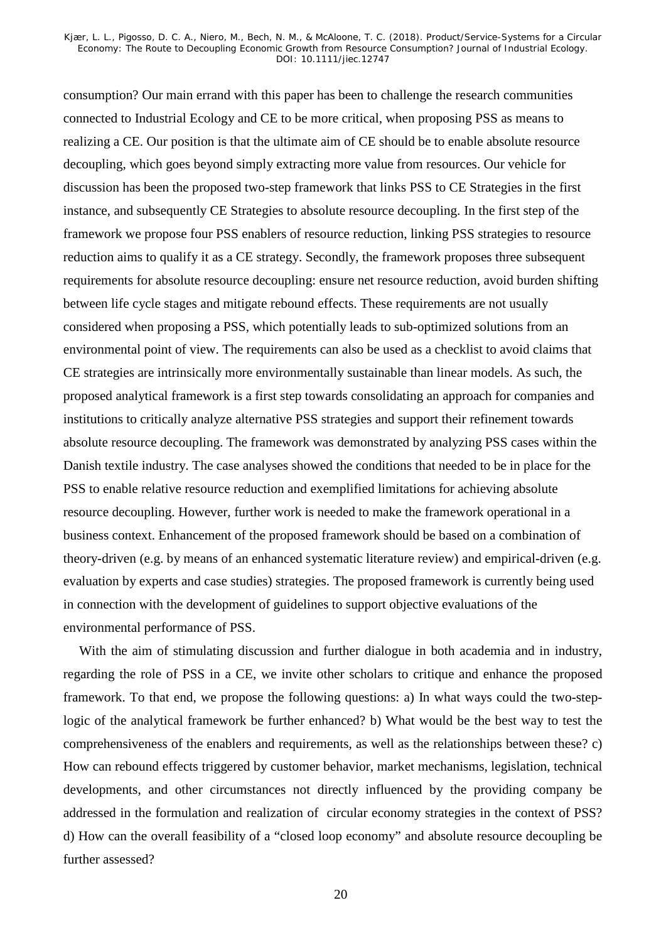consumption? Our main errand with this paper has been to challenge the research communities connected to Industrial Ecology and CE to be more critical, when proposing PSS as means to realizing a CE. Our position is that the ultimate aim of CE should be to enable absolute resource decoupling, which goes beyond simply extracting more value from resources. Our vehicle for discussion has been the proposed two-step framework that links PSS to CE Strategies in the first instance, and subsequently CE Strategies to absolute resource decoupling. In the first step of the framework we propose four PSS enablers of resource reduction, linking PSS strategies to resource reduction aims to qualify it as a CE strategy. Secondly, the framework proposes three subsequent requirements for absolute resource decoupling: ensure net resource reduction, avoid burden shifting between life cycle stages and mitigate rebound effects. These requirements are not usually considered when proposing a PSS, which potentially leads to sub-optimized solutions from an environmental point of view. The requirements can also be used as a checklist to avoid claims that CE strategies are intrinsically more environmentally sustainable than linear models. As such, the proposed analytical framework is a first step towards consolidating an approach for companies and institutions to critically analyze alternative PSS strategies and support their refinement towards absolute resource decoupling. The framework was demonstrated by analyzing PSS cases within the Danish textile industry. The case analyses showed the conditions that needed to be in place for the PSS to enable relative resource reduction and exemplified limitations for achieving absolute resource decoupling. However, further work is needed to make the framework operational in a business context. Enhancement of the proposed framework should be based on a combination of theory-driven (e.g. by means of an enhanced systematic literature review) and empirical-driven (e.g. evaluation by experts and case studies) strategies. The proposed framework is currently being used in connection with the development of guidelines to support objective evaluations of the environmental performance of PSS.

With the aim of stimulating discussion and further dialogue in both academia and in industry, regarding the role of PSS in a CE, we invite other scholars to critique and enhance the proposed framework. To that end, we propose the following questions: a) In what ways could the two-steplogic of the analytical framework be further enhanced? b) What would be the best way to test the comprehensiveness of the enablers and requirements, as well as the relationships between these? c) How can rebound effects triggered by customer behavior, market mechanisms, legislation, technical developments, and other circumstances not directly influenced by the providing company be addressed in the formulation and realization of circular economy strategies in the context of PSS? d) How can the overall feasibility of a "closed loop economy" and absolute resource decoupling be further assessed?

20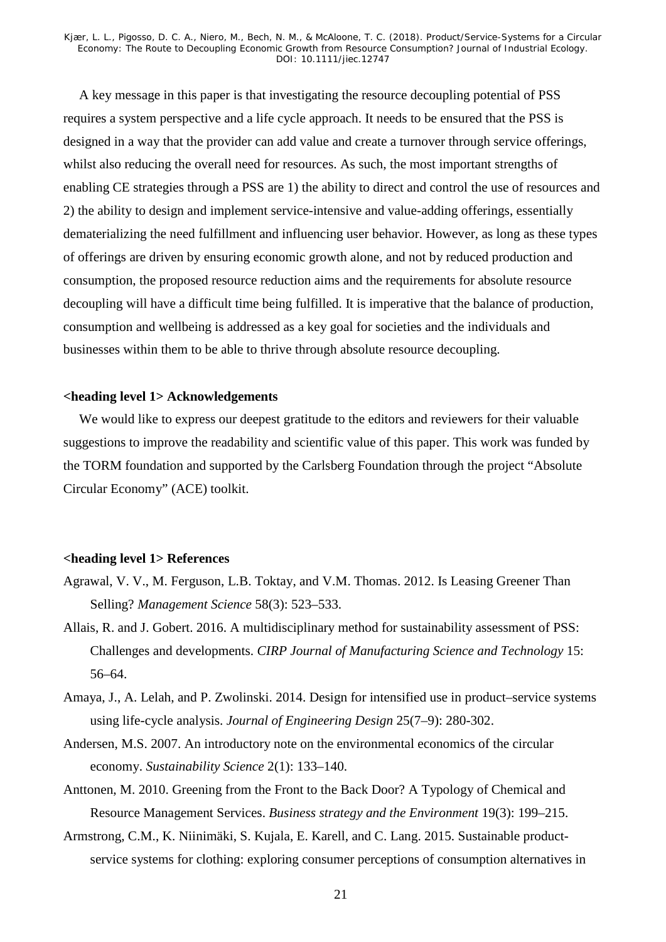A key message in this paper is that investigating the resource decoupling potential of PSS requires a system perspective and a life cycle approach. It needs to be ensured that the PSS is designed in a way that the provider can add value and create a turnover through service offerings, whilst also reducing the overall need for resources. As such, the most important strengths of enabling CE strategies through a PSS are 1) the ability to direct and control the use of resources and 2) the ability to design and implement service-intensive and value-adding offerings, essentially dematerializing the need fulfillment and influencing user behavior. However, as long as these types of offerings are driven by ensuring economic growth alone, and not by reduced production and consumption, the proposed resource reduction aims and the requirements for absolute resource decoupling will have a difficult time being fulfilled. It is imperative that the balance of production, consumption and wellbeing is addressed as a key goal for societies and the individuals and businesses within them to be able to thrive through absolute resource decoupling.

#### **<heading level 1> Acknowledgements**

We would like to express our deepest gratitude to the editors and reviewers for their valuable suggestions to improve the readability and scientific value of this paper. This work was funded by the TORM foundation and supported by the Carlsberg Foundation through the project "Absolute Circular Economy" (ACE) toolkit.

#### **<heading level 1> References**

- Agrawal, V. V., M. Ferguson, L.B. Toktay, and V.M. Thomas. 2012. Is Leasing Greener Than Selling? *Management Science* 58(3): 523–533.
- Allais, R. and J. Gobert. 2016. A multidisciplinary method for sustainability assessment of PSS: Challenges and developments. *CIRP Journal of Manufacturing Science and Technology* 15: 56–64.
- Amaya, J., A. Lelah, and P. Zwolinski. 2014. Design for intensified use in product–service systems using life-cycle analysis. *Journal of Engineering Design* 25(7–9): 280-302.
- Andersen, M.S. 2007. An introductory note on the environmental economics of the circular economy. *Sustainability Science* 2(1): 133–140.
- Anttonen, M. 2010. Greening from the Front to the Back Door? A Typology of Chemical and Resource Management Services. *Business strategy and the Environment* 19(3): 199–215.
- Armstrong, C.M., K. Niinimäki, S. Kujala, E. Karell, and C. Lang. 2015. Sustainable productservice systems for clothing: exploring consumer perceptions of consumption alternatives in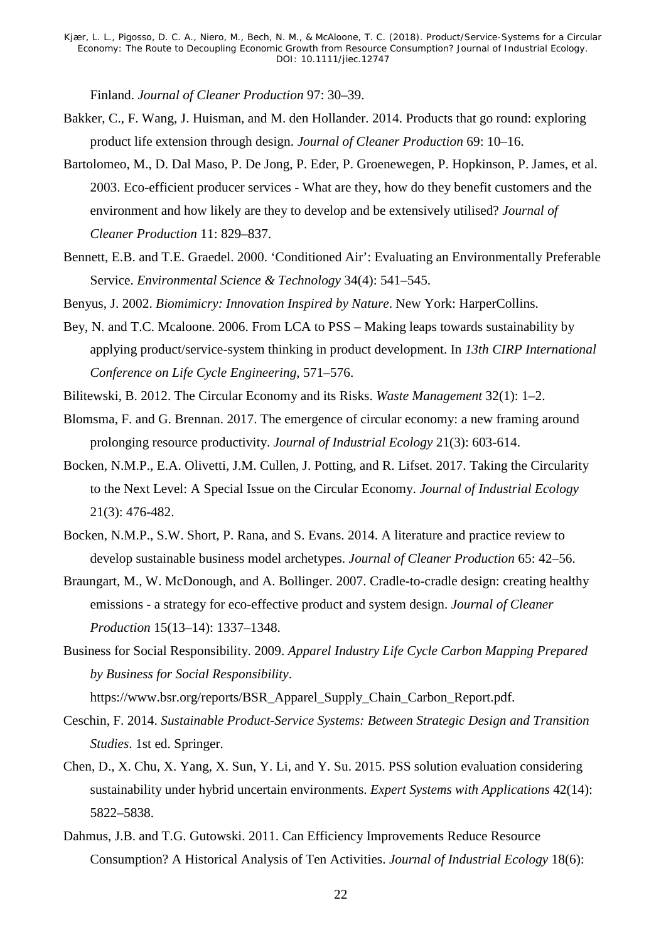Finland. *Journal of Cleaner Production* 97: 30–39.

- Bakker, C., F. Wang, J. Huisman, and M. den Hollander. 2014. Products that go round: exploring product life extension through design. *Journal of Cleaner Production* 69: 10–16.
- Bartolomeo, M., D. Dal Maso, P. De Jong, P. Eder, P. Groenewegen, P. Hopkinson, P. James, et al. 2003. Eco-efficient producer services - What are they, how do they benefit customers and the environment and how likely are they to develop and be extensively utilised? *Journal of Cleaner Production* 11: 829–837.
- Bennett, E.B. and T.E. Graedel. 2000. 'Conditioned Air': Evaluating an Environmentally Preferable Service. *Environmental Science & Technology* 34(4): 541–545.
- Benyus, J. 2002. *Biomimicry: Innovation Inspired by Nature*. New York: HarperCollins.
- Bey, N. and T.C. Mcaloone. 2006. From LCA to PSS Making leaps towards sustainability by applying product/service-system thinking in product development. In *13th CIRP International Conference on Life Cycle Engineering*, 571–576.
- Bilitewski, B. 2012. The Circular Economy and its Risks. *Waste Management* 32(1): 1–2.
- Blomsma, F. and G. Brennan. 2017. The emergence of circular economy: a new framing around prolonging resource productivity. *Journal of Industrial Ecology* 21(3): 603-614.
- Bocken, N.M.P., E.A. Olivetti, J.M. Cullen, J. Potting, and R. Lifset. 2017. Taking the Circularity to the Next Level: A Special Issue on the Circular Economy. *Journal of Industrial Ecology* 21(3): 476-482.
- Bocken, N.M.P., S.W. Short, P. Rana, and S. Evans. 2014. A literature and practice review to develop sustainable business model archetypes. *Journal of Cleaner Production* 65: 42–56.
- Braungart, M., W. McDonough, and A. Bollinger. 2007. Cradle-to-cradle design: creating healthy emissions - a strategy for eco-effective product and system design. *Journal of Cleaner Production* 15(13–14): 1337–1348.
- Business for Social Responsibility. 2009. *Apparel Industry Life Cycle Carbon Mapping Prepared by Business for Social Responsibility*.

https://www.bsr.org/reports/BSR\_Apparel\_Supply\_Chain\_Carbon\_Report.pdf.

- Ceschin, F. 2014. *Sustainable Product-Service Systems: Between Strategic Design and Transition Studies*. 1st ed. Springer.
- Chen, D., X. Chu, X. Yang, X. Sun, Y. Li, and Y. Su. 2015. PSS solution evaluation considering sustainability under hybrid uncertain environments. *Expert Systems with Applications* 42(14): 5822–5838.
- Dahmus, J.B. and T.G. Gutowski. 2011. Can Efficiency Improvements Reduce Resource Consumption? A Historical Analysis of Ten Activities. *Journal of Industrial Ecology* 18(6):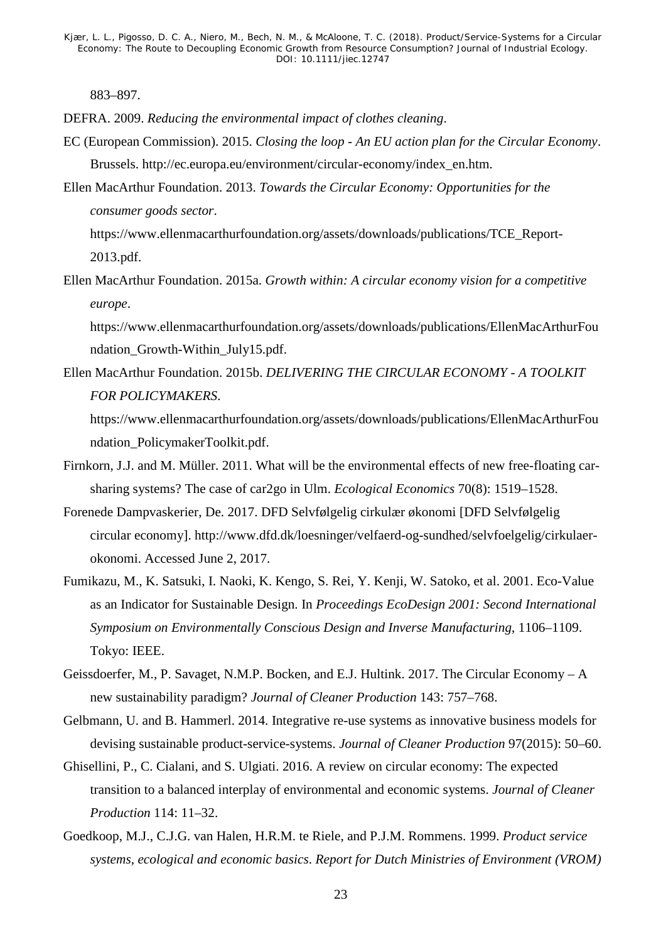883–897.

- DEFRA. 2009. *Reducing the environmental impact of clothes cleaning*.
- EC (European Commission). 2015. *Closing the loop - An EU action plan for the Circular Economy*. Brussels. http://ec.europa.eu/environment/circular-economy/index\_en.htm.
- Ellen MacArthur Foundation. 2013. *Towards the Circular Economy: Opportunities for the consumer goods sector*.

https://www.ellenmacarthurfoundation.org/assets/downloads/publications/TCE\_Report-2013.pdf.

Ellen MacArthur Foundation. 2015a. *Growth within: A circular economy vision for a competitive europe*.

https://www.ellenmacarthurfoundation.org/assets/downloads/publications/EllenMacArthurFou ndation\_Growth-Within\_July15.pdf.

Ellen MacArthur Foundation. 2015b. *DELIVERING THE CIRCULAR ECONOMY - A TOOLKIT FOR POLICYMAKERS*.

https://www.ellenmacarthurfoundation.org/assets/downloads/publications/EllenMacArthurFou ndation\_PolicymakerToolkit.pdf.

- Firnkorn, J.J. and M. Müller. 2011. What will be the environmental effects of new free-floating carsharing systems? The case of car2go in Ulm. *Ecological Economics* 70(8): 1519–1528.
- Forenede Dampvaskerier, De. 2017. DFD Selvfølgelig cirkulær økonomi [DFD Selvfølgelig circular economy]. http://www.dfd.dk/loesninger/velfaerd-og-sundhed/selvfoelgelig/cirkulaerokonomi. Accessed June 2, 2017.
- Fumikazu, M., K. Satsuki, I. Naoki, K. Kengo, S. Rei, Y. Kenji, W. Satoko, et al. 2001. Eco-Value as an Indicator for Sustainable Design. In *Proceedings EcoDesign 2001: Second International Symposium on Environmentally Conscious Design and Inverse Manufacturing*, 1106–1109. Tokyo: IEEE.
- Geissdoerfer, M., P. Savaget, N.M.P. Bocken, and E.J. Hultink. 2017. The Circular Economy A new sustainability paradigm? *Journal of Cleaner Production* 143: 757–768.
- Gelbmann, U. and B. Hammerl. 2014. Integrative re-use systems as innovative business models for devising sustainable product-service-systems. *Journal of Cleaner Production* 97(2015): 50–60.
- Ghisellini, P., C. Cialani, and S. Ulgiati. 2016. A review on circular economy: The expected transition to a balanced interplay of environmental and economic systems. *Journal of Cleaner Production* 114: 11–32.
- Goedkoop, M.J., C.J.G. van Halen, H.R.M. te Riele, and P.J.M. Rommens. 1999. *Product service systems, ecological and economic basics*. *Report for Dutch Ministries of Environment (VROM)*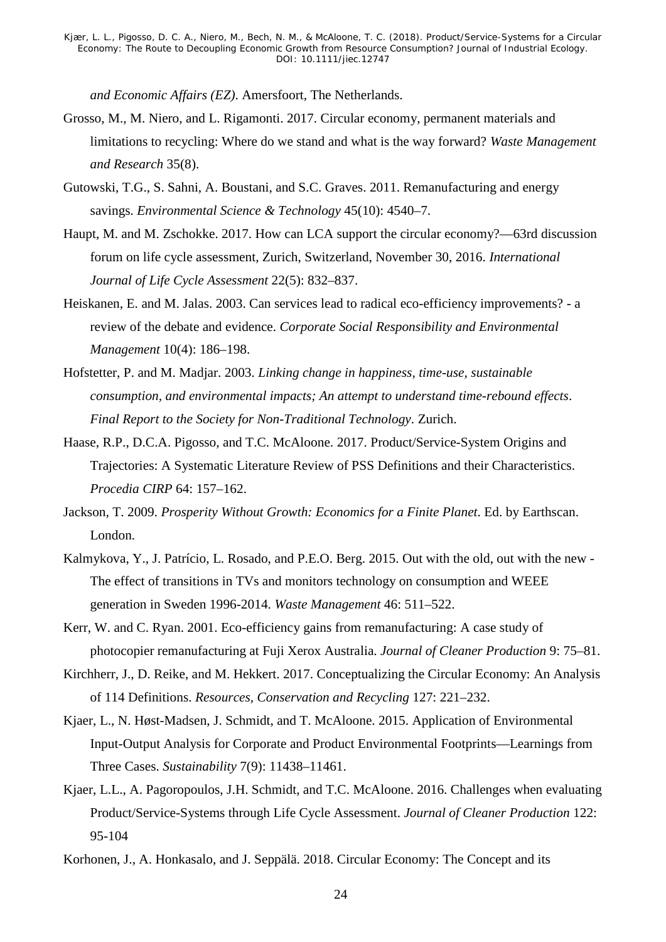*and Economic Affairs (EZ)*. Amersfoort, The Netherlands.

- Grosso, M., M. Niero, and L. Rigamonti. 2017. Circular economy, permanent materials and limitations to recycling: Where do we stand and what is the way forward? *Waste Management and Research* 35(8).
- Gutowski, T.G., S. Sahni, A. Boustani, and S.C. Graves. 2011. Remanufacturing and energy savings. *Environmental Science & Technology* 45(10): 4540–7.
- Haupt, M. and M. Zschokke. 2017. How can LCA support the circular economy?—63rd discussion forum on life cycle assessment, Zurich, Switzerland, November 30, 2016. *International Journal of Life Cycle Assessment* 22(5): 832–837.
- Heiskanen, E. and M. Jalas. 2003. Can services lead to radical eco-efficiency improvements? a review of the debate and evidence. *Corporate Social Responsibility and Environmental Management* 10(4): 186–198.
- Hofstetter, P. and M. Madjar. 2003. *Linking change in happiness, time-use, sustainable consumption, and environmental impacts; An attempt to understand time-rebound effects*. *Final Report to the Society for Non-Traditional Technology*. Zurich.
- Haase, R.P., D.C.A. Pigosso, and T.C. McAloone. 2017. Product/Service-System Origins and Trajectories: A Systematic Literature Review of PSS Definitions and their Characteristics. *Procedia CIRP* 64: 157–162.
- Jackson, T. 2009. *Prosperity Without Growth: Economics for a Finite Planet*. Ed. by Earthscan. London.
- Kalmykova, Y., J. Patrício, L. Rosado, and P.E.O. Berg. 2015. Out with the old, out with the new The effect of transitions in TVs and monitors technology on consumption and WEEE generation in Sweden 1996-2014. *Waste Management* 46: 511–522.
- Kerr, W. and C. Ryan. 2001. Eco-efficiency gains from remanufacturing: A case study of photocopier remanufacturing at Fuji Xerox Australia. *Journal of Cleaner Production* 9: 75–81.
- Kirchherr, J., D. Reike, and M. Hekkert. 2017. Conceptualizing the Circular Economy: An Analysis of 114 Definitions. *Resources, Conservation and Recycling* 127: 221–232.
- Kjaer, L., N. Høst-Madsen, J. Schmidt, and T. McAloone. 2015. Application of Environmental Input-Output Analysis for Corporate and Product Environmental Footprints—Learnings from Three Cases. *Sustainability* 7(9): 11438–11461.
- Kjaer, L.L., A. Pagoropoulos, J.H. Schmidt, and T.C. McAloone. 2016. Challenges when evaluating Product/Service-Systems through Life Cycle Assessment. *Journal of Cleaner Production* 122: 95-104
- Korhonen, J., A. Honkasalo, and J. Seppälä. 2018. Circular Economy: The Concept and its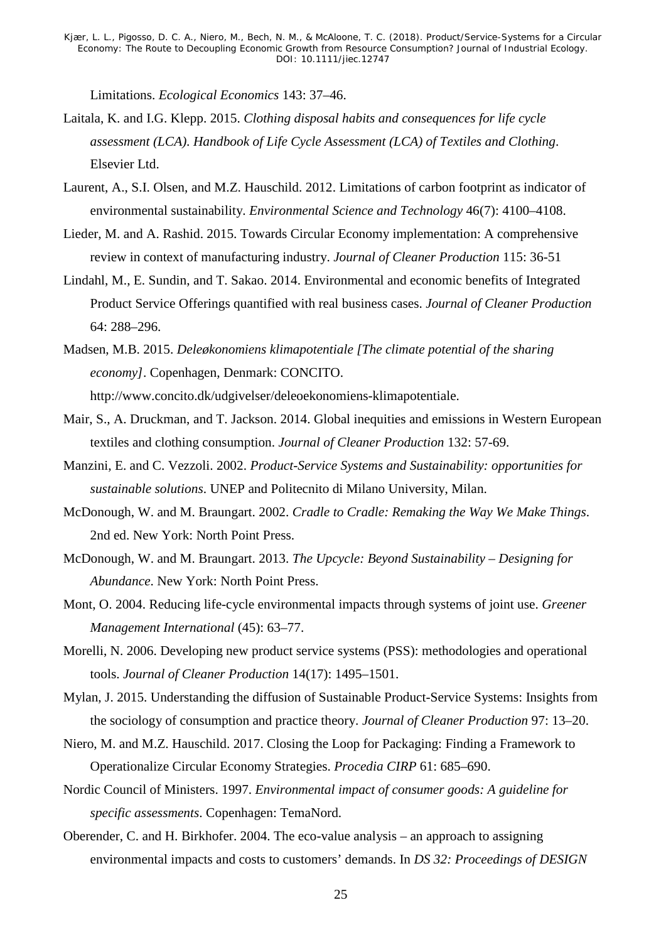Limitations. *Ecological Economics* 143: 37–46.

- Laitala, K. and I.G. Klepp. 2015. *Clothing disposal habits and consequences for life cycle assessment (LCA)*. *Handbook of Life Cycle Assessment (LCA) of Textiles and Clothing*. Elsevier Ltd.
- Laurent, A., S.I. Olsen, and M.Z. Hauschild. 2012. Limitations of carbon footprint as indicator of environmental sustainability. *Environmental Science and Technology* 46(7): 4100–4108.
- Lieder, M. and A. Rashid. 2015. Towards Circular Economy implementation: A comprehensive review in context of manufacturing industry. *Journal of Cleaner Production* 115: 36-51
- Lindahl, M., E. Sundin, and T. Sakao. 2014. Environmental and economic benefits of Integrated Product Service Offerings quantified with real business cases. *Journal of Cleaner Production* 64: 288–296.
- Madsen, M.B. 2015. *Deleøkonomiens klimapotentiale [The climate potential of the sharing economy]*. Copenhagen, Denmark: CONCITO. http://www.concito.dk/udgivelser/deleoekonomiens-klimapotentiale.
- Mair, S., A. Druckman, and T. Jackson. 2014. Global inequities and emissions in Western European textiles and clothing consumption. *Journal of Cleaner Production* 132: 57-69.
- Manzini, E. and C. Vezzoli. 2002. *Product-Service Systems and Sustainability: opportunities for sustainable solutions*. UNEP and Politecnito di Milano University, Milan.
- McDonough, W. and M. Braungart. 2002. *Cradle to Cradle: Remaking the Way We Make Things*. 2nd ed. New York: North Point Press.
- McDonough, W. and M. Braungart. 2013. *The Upcycle: Beyond Sustainability – Designing for Abundance*. New York: North Point Press.
- Mont, O. 2004. Reducing life-cycle environmental impacts through systems of joint use. *Greener Management International* (45): 63–77.
- Morelli, N. 2006. Developing new product service systems (PSS): methodologies and operational tools. *Journal of Cleaner Production* 14(17): 1495–1501.
- Mylan, J. 2015. Understanding the diffusion of Sustainable Product-Service Systems: Insights from the sociology of consumption and practice theory. *Journal of Cleaner Production* 97: 13–20.
- Niero, M. and M.Z. Hauschild. 2017. Closing the Loop for Packaging: Finding a Framework to Operationalize Circular Economy Strategies. *Procedia CIRP* 61: 685–690.
- Nordic Council of Ministers. 1997. *Environmental impact of consumer goods: A guideline for specific assessments*. Copenhagen: TemaNord.
- Oberender, C. and H. Birkhofer. 2004. The eco-value analysis an approach to assigning environmental impacts and costs to customers' demands. In *DS 32: Proceedings of DESIGN*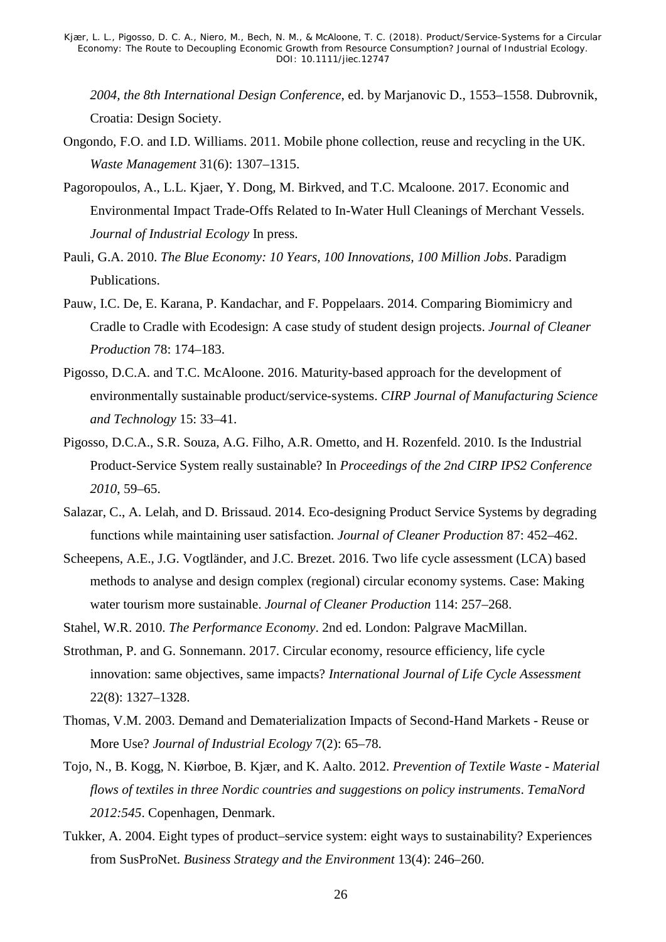*2004, the 8th International Design Conference*, ed. by Marjanovic D., 1553–1558. Dubrovnik, Croatia: Design Society.

- Ongondo, F.O. and I.D. Williams. 2011. Mobile phone collection, reuse and recycling in the UK. *Waste Management* 31(6): 1307–1315.
- Pagoropoulos, A., L.L. Kjaer, Y. Dong, M. Birkved, and T.C. Mcaloone. 2017. Economic and Environmental Impact Trade-Offs Related to In-Water Hull Cleanings of Merchant Vessels. *Journal of Industrial Ecology* In press.
- Pauli, G.A. 2010. *The Blue Economy: 10 Years, 100 Innovations, 100 Million Jobs*. Paradigm Publications.
- Pauw, I.C. De, E. Karana, P. Kandachar, and F. Poppelaars. 2014. Comparing Biomimicry and Cradle to Cradle with Ecodesign: A case study of student design projects. *Journal of Cleaner Production* 78: 174–183.
- Pigosso, D.C.A. and T.C. McAloone. 2016. Maturity-based approach for the development of environmentally sustainable product/service-systems. *CIRP Journal of Manufacturing Science and Technology* 15: 33–41.
- Pigosso, D.C.A., S.R. Souza, A.G. Filho, A.R. Ometto, and H. Rozenfeld. 2010. Is the Industrial Product-Service System really sustainable? In *Proceedings of the 2nd CIRP IPS2 Conference 2010*, 59–65.
- Salazar, C., A. Lelah, and D. Brissaud. 2014. Eco-designing Product Service Systems by degrading functions while maintaining user satisfaction. *Journal of Cleaner Production* 87: 452–462.
- Scheepens, A.E., J.G. Vogtländer, and J.C. Brezet. 2016. Two life cycle assessment (LCA) based methods to analyse and design complex (regional) circular economy systems. Case: Making water tourism more sustainable. *Journal of Cleaner Production* 114: 257–268.
- Stahel, W.R. 2010. *The Performance Economy*. 2nd ed. London: Palgrave MacMillan.
- Strothman, P. and G. Sonnemann. 2017. Circular economy, resource efficiency, life cycle innovation: same objectives, same impacts? *International Journal of Life Cycle Assessment* 22(8): 1327–1328.
- Thomas, V.M. 2003. Demand and Dematerialization Impacts of Second-Hand Markets Reuse or More Use? *Journal of Industrial Ecology* 7(2): 65–78.
- Tojo, N., B. Kogg, N. Kiørboe, B. Kjær, and K. Aalto. 2012. *Prevention of Textile Waste - Material flows of textiles in three Nordic countries and suggestions on policy instruments*. *TemaNord 2012:545*. Copenhagen, Denmark.
- Tukker, A. 2004. Eight types of product–service system: eight ways to sustainability? Experiences from SusProNet. *Business Strategy and the Environment* 13(4): 246–260.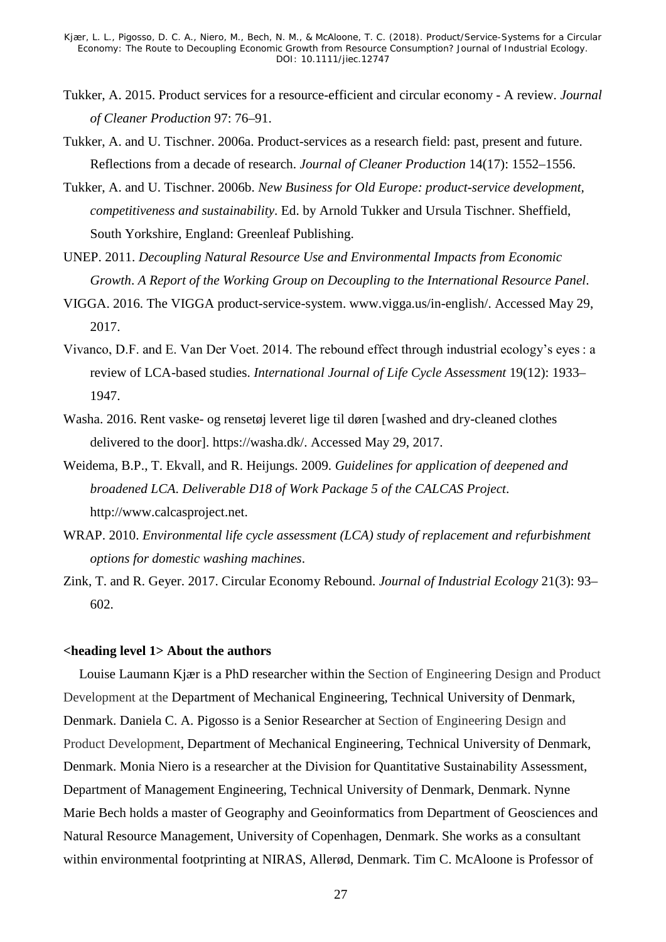- Tukker, A. 2015. Product services for a resource-efficient and circular economy A review. *Journal of Cleaner Production* 97: 76–91.
- Tukker, A. and U. Tischner. 2006a. Product-services as a research field: past, present and future. Reflections from a decade of research. *Journal of Cleaner Production* 14(17): 1552–1556.
- Tukker, A. and U. Tischner. 2006b. *New Business for Old Europe: product-service development, competitiveness and sustainability*. Ed. by Arnold Tukker and Ursula Tischner. Sheffield, South Yorkshire, England: Greenleaf Publishing.
- UNEP. 2011. *Decoupling Natural Resource Use and Environmental Impacts from Economic Growth*. *A Report of the Working Group on Decoupling to the International Resource Panel*.
- VIGGA. 2016. The VIGGA product-service-system. www.vigga.us/in-english/. Accessed May 29, 2017.
- Vivanco, D.F. and E. Van Der Voet. 2014. The rebound effect through industrial ecology's eyes : a review of LCA-based studies. *International Journal of Life Cycle Assessment* 19(12): 1933– 1947.
- Washa. 2016. Rent vaske- og rensetøj leveret lige til døren [washed and dry-cleaned clothes delivered to the door]. https://washa.dk/. Accessed May 29, 2017.
- Weidema, B.P., T. Ekvall, and R. Heijungs. 2009. *Guidelines for application of deepened and broadened LCA*. *Deliverable D18 of Work Package 5 of the CALCAS Project*. http://www.calcasproject.net.
- WRAP. 2010. *Environmental life cycle assessment (LCA) study of replacement and refurbishment options for domestic washing machines*.
- Zink, T. and R. Geyer. 2017. Circular Economy Rebound. *Journal of Industrial Ecology* 21(3): 93– 602.

#### **<heading level 1> About the authors**

Louise Laumann Kjær is a PhD researcher within the Section of Engineering Design and Product Development at the Department of Mechanical Engineering, Technical University of Denmark, Denmark. Daniela C. A. Pigosso is a Senior Researcher at Section of Engineering Design and Product Development, Department of Mechanical Engineering, Technical University of Denmark, Denmark. Monia Niero is a researcher at the Division for Quantitative Sustainability Assessment, Department of Management Engineering, Technical University of Denmark, Denmark. Nynne Marie Bech holds a master of Geography and Geoinformatics from [Department of Geosciences and](http://ign.ku.dk/english/)  [Natural Resource Management,](http://ign.ku.dk/english/) University of Copenhagen, Denmark. She works as a consultant within environmental footprinting at NIRAS, Allerød, Denmark. Tim C. McAloone is Professor of